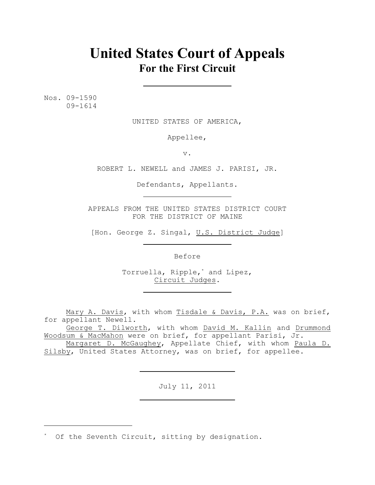# **United States Court of Appeals For the First Circuit**

Nos. 09-1590 09-1614

UNITED STATES OF AMERICA,

Appellee,

v.

ROBERT L. NEWELL and JAMES J. PARISI, JR.

Defendants, Appellants.

APPEALS FROM THE UNITED STATES DISTRICT COURT FOR THE DISTRICT OF MAINE

[Hon. George Z. Singal, U.S. District Judge]

Before

Torruella, Ripple,<sup>\*</sup> and Lipez, Circuit Judges.

Mary A. Davis, with whom Tisdale & Davis, P.A. was on brief, for appellant Newell.

George T. Dilworth, with whom David M. Kallin and Drummond Woodsum & MacMahon were on brief, for appellant Parisi, Jr.

Margaret D. McGaughey, Appellate Chief, with whom Paula D. Silsby, United States Attorney, was on brief, for appellee.

July 11, 2011

\* Of the Seventh Circuit, sitting by designation.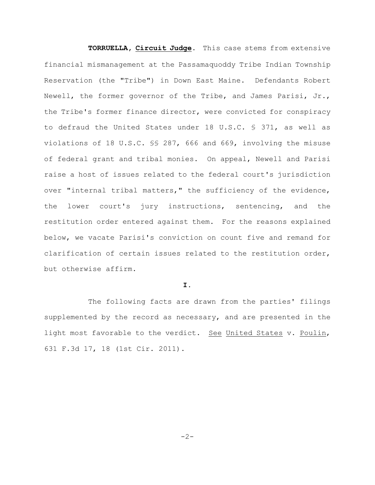**TORRUELLA, Circuit Judge.** This case stems from extensive financial mismanagement at the Passamaquoddy Tribe Indian Township Reservation (the "Tribe") in Down East Maine. Defendants Robert Newell, the former governor of the Tribe, and James Parisi, Jr., the Tribe's former finance director, were convicted for conspiracy to defraud the United States under 18 U.S.C. § 371, as well as violations of 18 U.S.C. §§ 287, 666 and 669, involving the misuse of federal grant and tribal monies. On appeal, Newell and Parisi raise a host of issues related to the federal court's jurisdiction over "internal tribal matters," the sufficiency of the evidence, the lower court's jury instructions, sentencing, and the restitution order entered against them. For the reasons explained below, we vacate Parisi's conviction on count five and remand for clarification of certain issues related to the restitution order, but otherwise affirm.

# **I.**

The following facts are drawn from the parties' filings supplemented by the record as necessary, and are presented in the light most favorable to the verdict. See United States v. Poulin, 631 F.3d 17, 18 (1st Cir. 2011).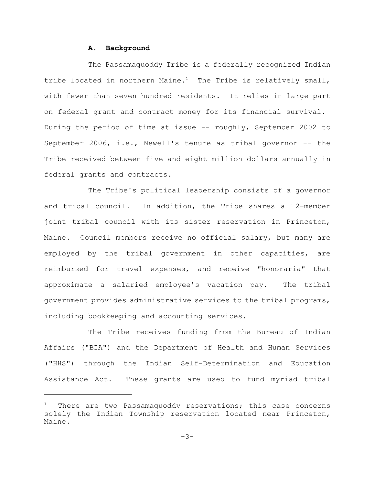#### **A. Background**

The Passamaquoddy Tribe is a federally recognized Indian tribe located in northern Maine.<sup>1</sup> The Tribe is relatively small, with fewer than seven hundred residents. It relies in large part on federal grant and contract money for its financial survival. During the period of time at issue -- roughly, September 2002 to September 2006, i.e., Newell's tenure as tribal governor -- the Tribe received between five and eight million dollars annually in federal grants and contracts.

The Tribe's political leadership consists of a governor and tribal council. In addition, the Tribe shares a 12-member joint tribal council with its sister reservation in Princeton, Maine. Council members receive no official salary, but many are employed by the tribal government in other capacities, are reimbursed for travel expenses, and receive "honoraria" that approximate a salaried employee's vacation pay. The tribal government provides administrative services to the tribal programs, including bookkeeping and accounting services.

The Tribe receives funding from the Bureau of Indian Affairs ("BIA") and the Department of Health and Human Services ("HHS") through the Indian Self-Determination and Education Assistance Act. These grants are used to fund myriad tribal

There are two Passamaquoddy reservations; this case concerns solely the Indian Township reservation located near Princeton, Maine.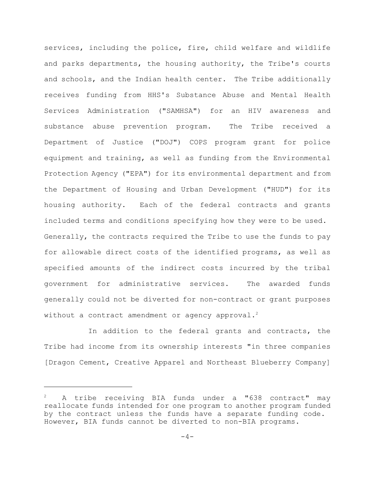services, including the police, fire, child welfare and wildlife and parks departments, the housing authority, the Tribe's courts and schools, and the Indian health center. The Tribe additionally receives funding from HHS's Substance Abuse and Mental Health Services Administration ("SAMHSA") for an HIV awareness and substance abuse prevention program. The Tribe received a Department of Justice ("DOJ") COPS program grant for police equipment and training, as well as funding from the Environmental Protection Agency ("EPA") for its environmental department and from the Department of Housing and Urban Development ("HUD") for its housing authority. Each of the federal contracts and grants included terms and conditions specifying how they were to be used. Generally, the contracts required the Tribe to use the funds to pay for allowable direct costs of the identified programs, as well as specified amounts of the indirect costs incurred by the tribal government for administrative services. The awarded funds generally could not be diverted for non-contract or grant purposes without a contract amendment or agency approval.<sup>2</sup>

In addition to the federal grants and contracts, the Tribe had income from its ownership interests "in three companies [Dragon Cement, Creative Apparel and Northeast Blueberry Company]

A tribe receiving BIA funds under a "638 contract" may <sup>2</sup> reallocate funds intended for one program to another program funded by the contract unless the funds have a separate funding code. However, BIA funds cannot be diverted to non-BIA programs.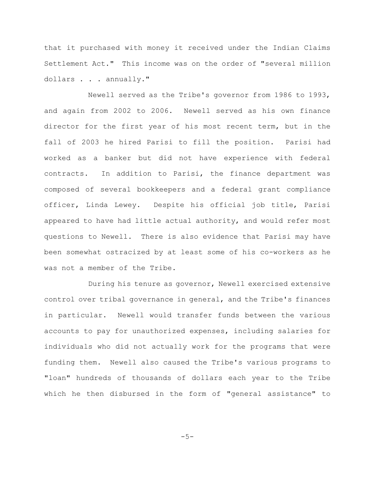that it purchased with money it received under the Indian Claims Settlement Act." This income was on the order of "several million dollars . . . annually."

Newell served as the Tribe's governor from 1986 to 1993, and again from 2002 to 2006. Newell served as his own finance director for the first year of his most recent term, but in the fall of 2003 he hired Parisi to fill the position. Parisi had worked as a banker but did not have experience with federal contracts. In addition to Parisi, the finance department was composed of several bookkeepers and a federal grant compliance officer, Linda Lewey. Despite his official job title, Parisi appeared to have had little actual authority, and would refer most questions to Newell. There is also evidence that Parisi may have been somewhat ostracized by at least some of his co-workers as he was not a member of the Tribe.

During his tenure as governor, Newell exercised extensive control over tribal governance in general, and the Tribe's finances in particular. Newell would transfer funds between the various accounts to pay for unauthorized expenses, including salaries for individuals who did not actually work for the programs that were funding them. Newell also caused the Tribe's various programs to "loan" hundreds of thousands of dollars each year to the Tribe which he then disbursed in the form of "general assistance" to

 $-5-$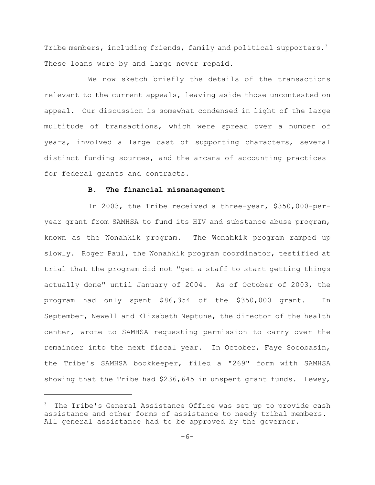Tribe members, including friends, family and political supporters.<sup>3</sup> These loans were by and large never repaid.

We now sketch briefly the details of the transactions relevant to the current appeals, leaving aside those uncontested on appeal. Our discussion is somewhat condensed in light of the large multitude of transactions, which were spread over a number of years, involved a large cast of supporting characters, several distinct funding sources, and the arcana of accounting practices for federal grants and contracts.

# **B. The financial mismanagement**

In 2003, the Tribe received a three-year, \$350,000-peryear grant from SAMHSA to fund its HIV and substance abuse program, known as the Wonahkik program. The Wonahkik program ramped up slowly. Roger Paul, the Wonahkik program coordinator, testified at trial that the program did not "get a staff to start getting things actually done" until January of 2004. As of October of 2003, the program had only spent \$86,354 of the \$350,000 grant. In September, Newell and Elizabeth Neptune, the director of the health center, wrote to SAMHSA requesting permission to carry over the remainder into the next fiscal year. In October, Faye Socobasin, the Tribe's SAMHSA bookkeeper, filed a "269" form with SAMHSA showing that the Tribe had \$236,645 in unspent grant funds. Lewey,

 $3$  The Tribe's General Assistance Office was set up to provide cash assistance and other forms of assistance to needy tribal members. All general assistance had to be approved by the governor.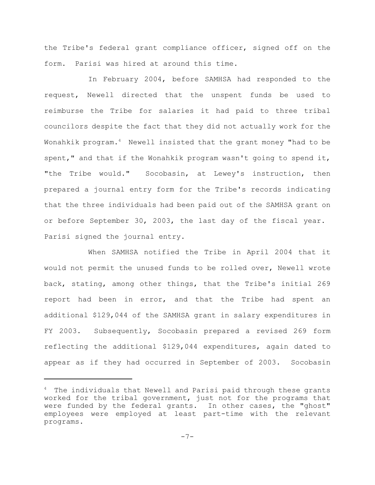the Tribe's federal grant compliance officer, signed off on the form. Parisi was hired at around this time.

In February 2004, before SAMHSA had responded to the request, Newell directed that the unspent funds be used to reimburse the Tribe for salaries it had paid to three tribal councilors despite the fact that they did not actually work for the Wonahkik program.<sup>4</sup> Newell insisted that the grant money "had to be spent," and that if the Wonahkik program wasn't going to spend it, "the Tribe would." Socobasin, at Lewey's instruction, then prepared a journal entry form for the Tribe's records indicating that the three individuals had been paid out of the SAMHSA grant on or before September 30, 2003, the last day of the fiscal year. Parisi signed the journal entry.

When SAMHSA notified the Tribe in April 2004 that it would not permit the unused funds to be rolled over, Newell wrote back, stating, among other things, that the Tribe's initial 269 report had been in error, and that the Tribe had spent an additional \$129,044 of the SAMHSA grant in salary expenditures in FY 2003. Subsequently, Socobasin prepared a revised 269 form reflecting the additional \$129,044 expenditures, again dated to appear as if they had occurred in September of 2003. Socobasin

 $4$  The individuals that Newell and Parisi paid through these grants worked for the tribal government, just not for the programs that were funded by the federal grants. In other cases, the "ghost" employees were employed at least part-time with the relevant programs.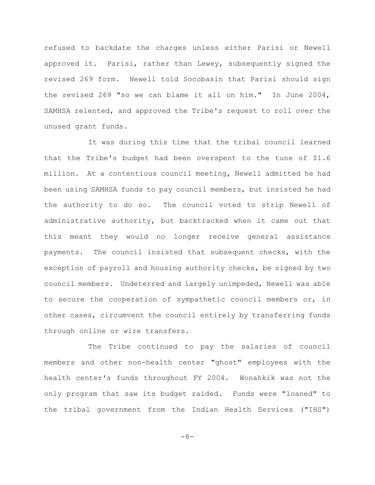refused to backdate the charges unless either Parisi or Newell approved it. Parisi, rather than Lewey, subsequently signed the revised 269 form. Newell told Socobasin that Parisi should sign the revised 269 "so we can blame it all on him." In June 2004, SAMHSA relented, and approved the Tribe's request to roll over the unused grant funds.

It was during this time that the tribal council learned that the Tribe's budget had been overspent to the tune of \$1.6 million. At a contentious council meeting, Newell admitted he had been using SAMHSA funds to pay council members, but insisted he had the authority to do so. The council voted to strip Newell of administrative authority, but backtracked when it came out that this meant they would no longer receive general assistance payments. The council insisted that subsequent checks, with the exception of payroll and housing authority checks, be signed by two council members. Undeterred and largely unimpeded, Newell was able to secure the cooperation of sympathetic council members or, in other cases, circumvent the council entirely by transferring funds through online or wire transfers.

The Tribe continued to pay the salaries of council members and other non-health center "ghost" employees with the health center's funds throughout FY 2004. Wonahkik was not the only program that saw its budget raided. Funds were "loaned" to the tribal government from the Indian Health Services ("IHS")

-8-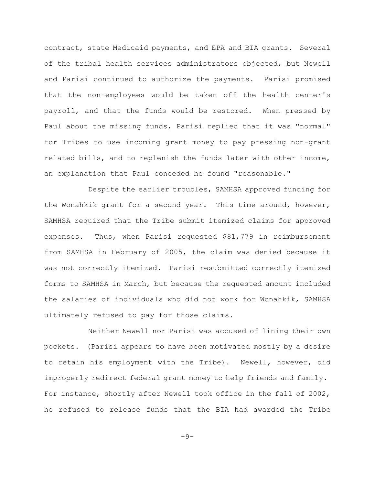contract, state Medicaid payments, and EPA and BIA grants. Several of the tribal health services administrators objected, but Newell and Parisi continued to authorize the payments. Parisi promised that the non-employees would be taken off the health center's payroll, and that the funds would be restored. When pressed by Paul about the missing funds, Parisi replied that it was "normal" for Tribes to use incoming grant money to pay pressing non-grant related bills, and to replenish the funds later with other income, an explanation that Paul conceded he found "reasonable."

Despite the earlier troubles, SAMHSA approved funding for the Wonahkik grant for a second year. This time around, however, SAMHSA required that the Tribe submit itemized claims for approved expenses. Thus, when Parisi requested \$81,779 in reimbursement from SAMHSA in February of 2005, the claim was denied because it was not correctly itemized. Parisi resubmitted correctly itemized forms to SAMHSA in March, but because the requested amount included the salaries of individuals who did not work for Wonahkik, SAMHSA ultimately refused to pay for those claims.

Neither Newell nor Parisi was accused of lining their own pockets. (Parisi appears to have been motivated mostly by a desire to retain his employment with the Tribe). Newell, however, did improperly redirect federal grant money to help friends and family. For instance, shortly after Newell took office in the fall of 2002, he refused to release funds that the BIA had awarded the Tribe

 $-9-$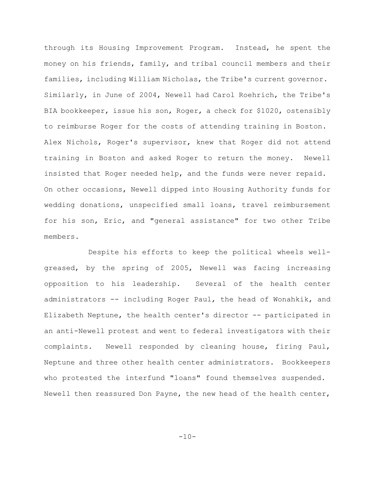through its Housing Improvement Program. Instead, he spent the money on his friends, family, and tribal council members and their families, including William Nicholas, the Tribe's current governor. Similarly, in June of 2004, Newell had Carol Roehrich, the Tribe's BIA bookkeeper, issue his son, Roger, a check for \$1020, ostensibly to reimburse Roger for the costs of attending training in Boston. Alex Nichols, Roger's supervisor, knew that Roger did not attend training in Boston and asked Roger to return the money. Newell insisted that Roger needed help, and the funds were never repaid. On other occasions, Newell dipped into Housing Authority funds for wedding donations, unspecified small loans, travel reimbursement for his son, Eric, and "general assistance" for two other Tribe members.

Despite his efforts to keep the political wheels wellgreased, by the spring of 2005, Newell was facing increasing opposition to his leadership. Several of the health center administrators -- including Roger Paul, the head of Wonahkik, and Elizabeth Neptune, the health center's director -- participated in an anti-Newell protest and went to federal investigators with their complaints. Newell responded by cleaning house, firing Paul, Neptune and three other health center administrators. Bookkeepers who protested the interfund "loans" found themselves suspended. Newell then reassured Don Payne, the new head of the health center,

 $-10-$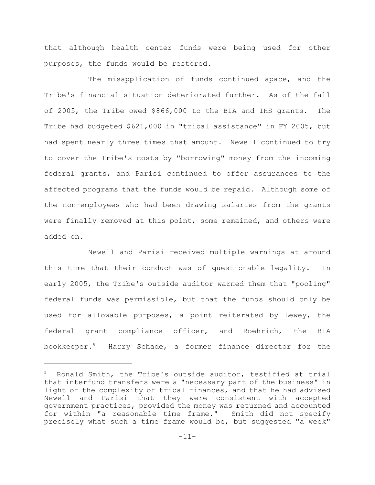that although health center funds were being used for other purposes, the funds would be restored.

The misapplication of funds continued apace, and the Tribe's financial situation deteriorated further. As of the fall of 2005, the Tribe owed \$866,000 to the BIA and IHS grants. The Tribe had budgeted \$621,000 in "tribal assistance" in FY 2005, but had spent nearly three times that amount. Newell continued to try to cover the Tribe's costs by "borrowing" money from the incoming federal grants, and Parisi continued to offer assurances to the affected programs that the funds would be repaid. Although some of the non-employees who had been drawing salaries from the grants were finally removed at this point, some remained, and others were added on.

Newell and Parisi received multiple warnings at around this time that their conduct was of questionable legality. In early 2005, the Tribe's outside auditor warned them that "pooling" federal funds was permissible, but that the funds should only be used for allowable purposes, a point reiterated by Lewey, the federal grant compliance officer, and Roehrich, the BIA bookkeeper.<sup>5</sup> Harry Schade, a former finance director for the

Ronald Smith, the Tribe's outside auditor, testified at trial that interfund transfers were a "necessary part of the business" in light of the complexity of tribal finances, and that he had advised Newell and Parisi that they were consistent with accepted government practices, provided the money was returned and accounted for within "a reasonable time frame." Smith did not specify precisely what such a time frame would be, but suggested "a week"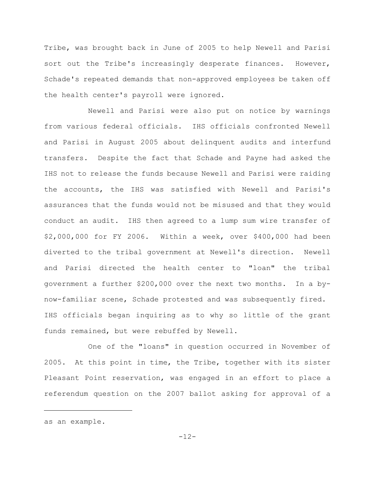Tribe, was brought back in June of 2005 to help Newell and Parisi sort out the Tribe's increasingly desperate finances. However, Schade's repeated demands that non-approved employees be taken off the health center's payroll were ignored.

Newell and Parisi were also put on notice by warnings from various federal officials. IHS officials confronted Newell and Parisi in August 2005 about delinquent audits and interfund transfers. Despite the fact that Schade and Payne had asked the IHS not to release the funds because Newell and Parisi were raiding the accounts, the IHS was satisfied with Newell and Parisi's assurances that the funds would not be misused and that they would conduct an audit. IHS then agreed to a lump sum wire transfer of \$2,000,000 for FY 2006. Within a week, over \$400,000 had been diverted to the tribal government at Newell's direction. Newell and Parisi directed the health center to "loan" the tribal government a further \$200,000 over the next two months. In a bynow-familiar scene, Schade protested and was subsequently fired. IHS officials began inquiring as to why so little of the grant funds remained, but were rebuffed by Newell.

One of the "loans" in question occurred in November of 2005. At this point in time, the Tribe, together with its sister Pleasant Point reservation, was engaged in an effort to place a referendum question on the 2007 ballot asking for approval of a

as an example.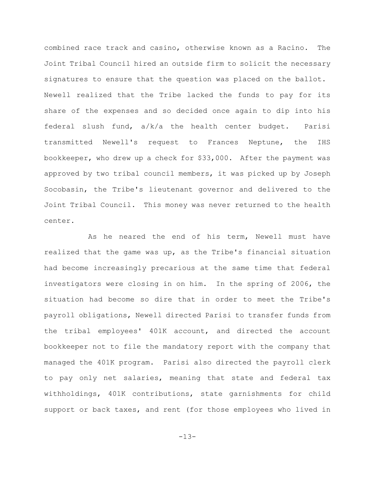combined race track and casino, otherwise known as a Racino. The Joint Tribal Council hired an outside firm to solicit the necessary signatures to ensure that the question was placed on the ballot. Newell realized that the Tribe lacked the funds to pay for its share of the expenses and so decided once again to dip into his federal slush fund, a/k/a the health center budget. Parisi transmitted Newell's request to Frances Neptune, the IHS bookkeeper, who drew up a check for \$33,000. After the payment was approved by two tribal council members, it was picked up by Joseph Socobasin, the Tribe's lieutenant governor and delivered to the Joint Tribal Council. This money was never returned to the health center.

As he neared the end of his term, Newell must have realized that the game was up, as the Tribe's financial situation had become increasingly precarious at the same time that federal investigators were closing in on him. In the spring of 2006, the situation had become so dire that in order to meet the Tribe's payroll obligations, Newell directed Parisi to transfer funds from the tribal employees' 401K account, and directed the account bookkeeper not to file the mandatory report with the company that managed the 401K program. Parisi also directed the payroll clerk to pay only net salaries, meaning that state and federal tax withholdings, 401K contributions, state garnishments for child support or back taxes, and rent (for those employees who lived in

-13-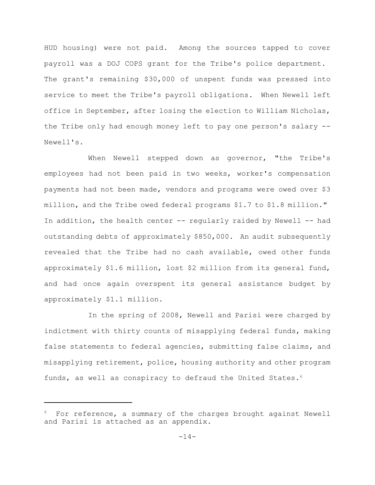HUD housing) were not paid. Among the sources tapped to cover payroll was a DOJ COPS grant for the Tribe's police department. The grant's remaining \$30,000 of unspent funds was pressed into service to meet the Tribe's payroll obligations. When Newell left office in September, after losing the election to William Nicholas, the Tribe only had enough money left to pay one person's salary -- Newell's.

When Newell stepped down as governor, "the Tribe's employees had not been paid in two weeks, worker's compensation payments had not been made, vendors and programs were owed over \$3 million, and the Tribe owed federal programs \$1.7 to \$1.8 million." In addition, the health center  $-$ - regularly raided by Newell  $-$ - had outstanding debts of approximately \$850,000. An audit subsequently revealed that the Tribe had no cash available, owed other funds approximately \$1.6 million, lost \$2 million from its general fund, and had once again overspent its general assistance budget by approximately \$1.1 million.

In the spring of 2008, Newell and Parisi were charged by indictment with thirty counts of misapplying federal funds, making false statements to federal agencies, submitting false claims, and misapplying retirement, police, housing authority and other program funds, as well as conspiracy to defraud the United States.<sup>6</sup>

For reference, a summary of the charges brought against Newell and Parisi is attached as an appendix.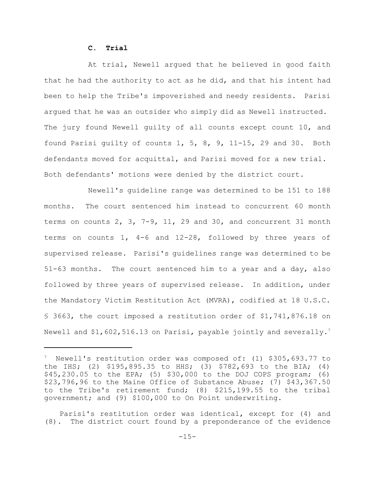## **C. Trial**

At trial, Newell argued that he believed in good faith that he had the authority to act as he did, and that his intent had been to help the Tribe's impoverished and needy residents. Parisi argued that he was an outsider who simply did as Newell instructed. The jury found Newell guilty of all counts except count 10, and found Parisi guilty of counts 1, 5, 8, 9, 11-15, 29 and 30. Both defendants moved for acquittal, and Parisi moved for a new trial. Both defendants' motions were denied by the district court.

Newell's guideline range was determined to be 151 to 188 months. The court sentenced him instead to concurrent 60 month terms on counts 2, 3, 7-9, 11, 29 and 30, and concurrent 31 month terms on counts 1, 4-6 and 12-28, followed by three years of supervised release. Parisi's guidelines range was determined to be 51-63 months. The court sentenced him to a year and a day, also followed by three years of supervised release. In addition, under the Mandatory Victim Restitution Act (MVRA), codified at 18 U.S.C. § 3663, the court imposed a restitution order of \$1,741,876.18 on Newell and  $$1,602,516.13$  on Parisi, payable jointly and severally.<sup>7</sup>

<sup>&</sup>lt;sup>7</sup> Newell's restitution order was composed of: (1) \$305,693.77 to the IHS; (2) \$195,895.35 to HHS; (3) \$782,693 to the BIA; (4) \$45,230.05 to the EPA; (5) \$30,000 to the DOJ COPS program; (6) \$23,796,96 to the Maine Office of Substance Abuse; (7) \$43,367.50 to the Tribe's retirement fund; (8) \$215,199.55 to the tribal government; and (9) \$100,000 to On Point underwriting.

Parisi's restitution order was identical, except for (4) and (8). The district court found by a preponderance of the evidence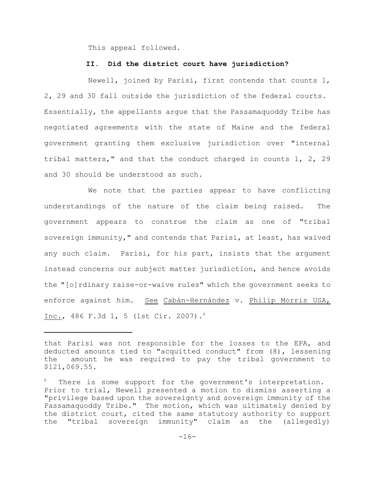This appeal followed.

## **II. Did the district court have jurisdiction?**

Newell, joined by Parisi, first contends that counts 1, 2, 29 and 30 fall outside the jurisdiction of the federal courts. Essentially, the appellants argue that the Passamaquoddy Tribe has negotiated agreements with the state of Maine and the federal government granting them exclusive jurisdiction over "internal tribal matters," and that the conduct charged in counts 1, 2, 29 and 30 should be understood as such.

We note that the parties appear to have conflicting understandings of the nature of the claim being raised. The government appears to construe the claim as one of "tribal sovereign immunity," and contends that Parisi, at least, has waived any such claim. Parisi, for his part, insists that the argument instead concerns our subject matter jurisdiction, and hence avoids the "[o]rdinary raise-or-waive rules" which the government seeks to enforce against him. See Cabán-Hernández v. Philip Morris USA, Inc., 486 F.3d 1, 5 (1st Cir. 2007).<sup>8</sup>

that Parisi was not responsible for the losses to the EPA, and deducted amounts tied to "acquitted conduct" from (8), lessening the amount he was required to pay the tribal government to \$121,069.55.

There is some support for the government's interpretation. Prior to trial, Newell presented a motion to dismiss asserting a "privilege based upon the sovereignty and sovereign immunity of the Passamaquoddy Tribe." The motion, which was ultimately denied by the district court, cited the same statutory authority to support the "tribal sovereign immunity" claim as the (allegedly)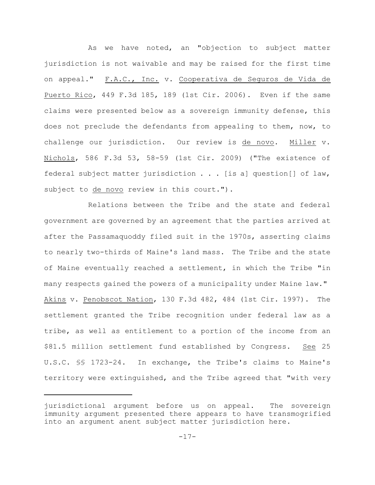As we have noted, an "objection to subject matter jurisdiction is not waivable and may be raised for the first time on appeal." F.A.C., Inc. v. Cooperativa de Seguros de Vida de Puerto Rico, 449 F.3d 185, 189 (1st Cir. 2006). Even if the same claims were presented below as a sovereign immunity defense, this does not preclude the defendants from appealing to them, now, to challenge our jurisdiction. Our review is de novo. Miller v. Nichols, 586 F.3d 53, 58-59 (1st Cir. 2009) ("The existence of federal subject matter jurisdiction . . . [is a] question[] of law, subject to de novo review in this court.").

Relations between the Tribe and the state and federal government are governed by an agreement that the parties arrived at after the Passamaquoddy filed suit in the 1970s, asserting claims to nearly two-thirds of Maine's land mass. The Tribe and the state of Maine eventually reached a settlement, in which the Tribe "in many respects gained the powers of a municipality under Maine law." Akins v. Penobscot Nation, 130 F.3d 482, 484 (1st Cir. 1997). The settlement granted the Tribe recognition under federal law as a tribe, as well as entitlement to a portion of the income from an \$81.5 million settlement fund established by Congress. See 25 U.S.C. §§ 1723-24. In exchange, the Tribe's claims to Maine's territory were extinguished, and the Tribe agreed that "with very

jurisdictional argument before us on appeal. The sovereign immunity argument presented there appears to have transmogrified into an argument anent subject matter jurisdiction here.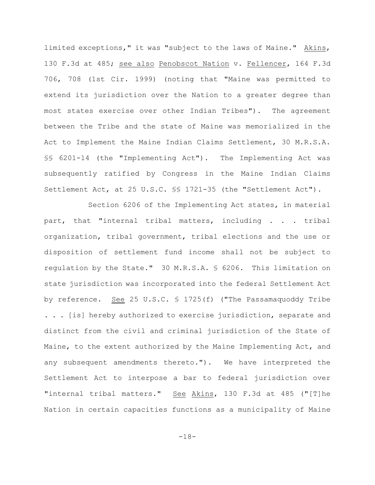limited exceptions," it was "subject to the laws of Maine." Akins, 130 F.3d at 485; see also Penobscot Nation v. Fellencer, 164 F.3d 706, 708 (1st Cir. 1999) (noting that "Maine was permitted to extend its jurisdiction over the Nation to a greater degree than most states exercise over other Indian Tribes"). The agreement between the Tribe and the state of Maine was memorialized in the Act to Implement the Maine Indian Claims Settlement, 30 M.R.S.A. §§ 6201-14 (the "Implementing Act"). The Implementing Act was subsequently ratified by Congress in the Maine Indian Claims Settlement Act, at 25 U.S.C. §§ 1721-35 (the "Settlement Act").

Section 6206 of the Implementing Act states, in material part, that "internal tribal matters, including . . . tribal organization, tribal government, tribal elections and the use or disposition of settlement fund income shall not be subject to regulation by the State." 30 M.R.S.A. § 6206. This limitation on state jurisdiction was incorporated into the federal Settlement Act by reference. See 25 U.S.C. § 1725(f) ("The Passamaquoddy Tribe . . . [is] hereby authorized to exercise jurisdiction, separate and distinct from the civil and criminal jurisdiction of the State of Maine, to the extent authorized by the Maine Implementing Act, and any subsequent amendments thereto."). We have interpreted the Settlement Act to interpose a bar to federal jurisdiction over "internal tribal matters." See Akins, 130 F.3d at 485 ("[T]he Nation in certain capacities functions as a municipality of Maine

-18-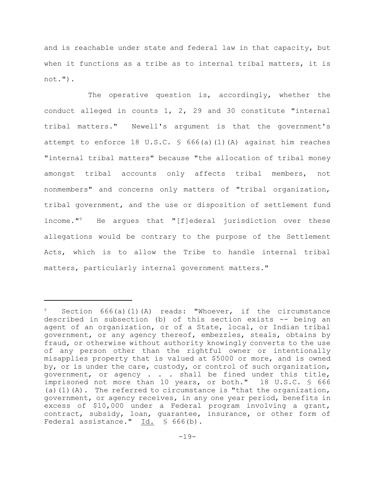and is reachable under state and federal law in that capacity, but when it functions as a tribe as to internal tribal matters, it is not.").

The operative question is, accordingly, whether the conduct alleged in counts 1, 2, 29 and 30 constitute "internal tribal matters." Newell's argument is that the government's attempt to enforce 18 U.S.C. § 666(a)(1)(A) against him reaches "internal tribal matters" because "the allocation of tribal money amongst tribal accounts only affects tribal members, not nonmembers" and concerns only matters of "tribal organization, tribal government, and the use or disposition of settlement fund income."<sup>9</sup> He argues that "[f]ederal jurisdiction over these allegations would be contrary to the purpose of the Settlement Acts, which is to allow the Tribe to handle internal tribal matters, particularly internal government matters."

Section  $666(a)(1)(A)$  reads: "Whoever, if the circumstance described in subsection (b) of this section exists -- being an agent of an organization, or of a State, local, or Indian tribal government, or any agency thereof, embezzles, steals, obtains by fraud, or otherwise without authority knowingly converts to the use of any person other than the rightful owner or intentionally misapplies property that is valued at \$5000 or more, and is owned by, or is under the care, custody, or control of such organization, government, or agency . . . shall be fined under this title, imprisoned not more than 10 years, or both." 18 U.S.C. § 666 (a)(1)(A). The referred to circumstance is "that the organization, government, or agency receives, in any one year period, benefits in excess of \$10,000 under a Federal program involving a grant, contract, subsidy, loan, guarantee, insurance, or other form of Federal assistance." Id. § 666(b).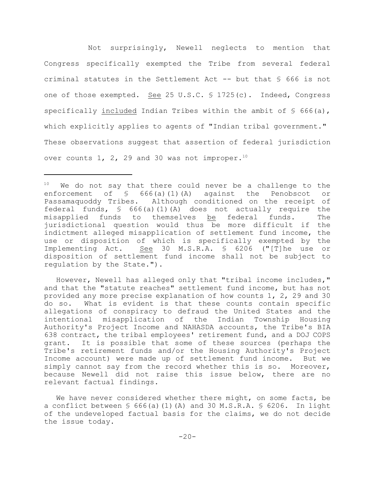Not surprisingly, Newell neglects to mention that Congress specifically exempted the Tribe from several federal criminal statutes in the Settlement Act -- but that § 666 is not one of those exempted. See 25 U.S.C. § 1725(c). Indeed, Congress specifically included Indian Tribes within the ambit of  $\frac{1}{5}$  666(a), which explicitly applies to agents of "Indian tribal government." These observations suggest that assertion of federal jurisdiction over counts  $1$ ,  $2$ ,  $29$  and  $30$  was not improper.<sup>10</sup>

However, Newell has alleged only that "tribal income includes," and that the "statute reaches" settlement fund income, but has not provided any more precise explanation of how counts 1, 2, 29 and 30 do so. What is evident is that these counts contain specific allegations of conspiracy to defraud the United States and the intentional misapplication of the Indian Township Housing Authority's Project Income and NAHASDA accounts, the Tribe's BIA 638 contract, the tribal employees' retirement fund, and a DOJ COPS grant. It is possible that some of these sources (perhaps the Tribe's retirement funds and/or the Housing Authority's Project Income account) were made up of settlement fund income. But we simply cannot say from the record whether this is so. Moreover, because Newell did not raise this issue below, there are no relevant factual findings.

We have never considered whether there might, on some facts, be a conflict between  $\S$  666(a)(1)(A) and 30 M.S.R.A.  $\S$  6206. In light of the undeveloped factual basis for the claims, we do not decide the issue today.

 $10$  We do not say that there could never be a challenge to the enforcement of § 666(a)(1)(A) against the Penobscot or Passamaquoddy Tribes. Although conditioned on the receipt of federal funds,  $\frac{1}{5}$  666(a)(1)(A) does not actually require the misapplied funds to themselves be federal funds. The jurisdictional question would thus be more difficult if the indictment alleged misapplication of settlement fund income, the use or disposition of which is specifically exempted by the Implementing Act. See 30 M.S.R.A. § 6206 ("[T]he use or disposition of settlement fund income shall not be subject to regulation by the State.").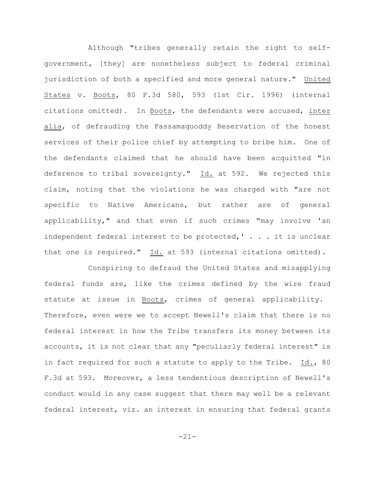Although "tribes generally retain the right to selfgovernment, [they] are nonetheless subject to federal criminal jurisdiction of both a specified and more general nature." United States v. Boots, 80 F.3d 580, 593 (1st Cir. 1996) (internal citations omitted). In Boots, the defendants were accused, inter alia, of defrauding the Passamaquoddy Reservation of the honest services of their police chief by attempting to bribe him. One of the defendants claimed that he should have been acquitted "in deference to tribal sovereignty." Id. at 592. We rejected this claim, noting that the violations he was charged with "are not specific to Native Americans, but rather are of general applicability," and that even if such crimes "may involve 'an independent federal interest to be protected,' . . . it is unclear that one is required." Id. at 593 (internal citations omitted).

Conspiring to defraud the United States and misapplying federal funds are, like the crimes defined by the wire fraud statute at issue in Boots, crimes of general applicability. Therefore, even were we to accept Newell's claim that there is no federal interest in how the Tribe transfers its money between its accounts, it is not clear that any "peculiarly federal interest" is in fact required for such a statute to apply to the Tribe. Id., 80 F.3d at 593. Moreover, a less tendentious description of Newell's conduct would in any case suggest that there may well be a relevant federal interest, viz. an interest in ensuring that federal grants

-21-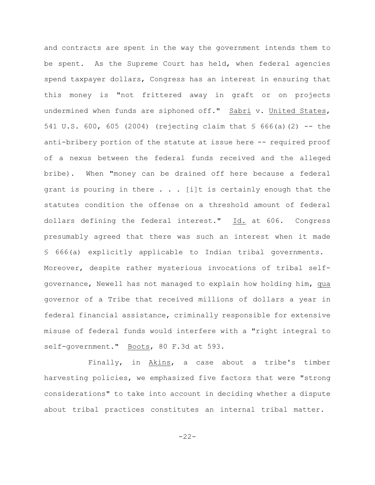and contracts are spent in the way the government intends them to be spent. As the Supreme Court has held, when federal agencies spend taxpayer dollars, Congress has an interest in ensuring that this money is "not frittered away in graft or on projects undermined when funds are siphoned off." Sabri v. United States, 541 U.S. 600, 605 (2004) (rejecting claim that  $\frac{1}{5}$  666(a)(2) -- the anti-bribery portion of the statute at issue here -- required proof of a nexus between the federal funds received and the alleged bribe). When "money can be drained off here because a federal grant is pouring in there  $\ldots$  . [i]t is certainly enough that the statutes condition the offense on a threshold amount of federal dollars defining the federal interest."  $Id.$  at 606. Congress presumably agreed that there was such an interest when it made § 666(a) explicitly applicable to Indian tribal governments. Moreover, despite rather mysterious invocations of tribal selfgovernance, Newell has not managed to explain how holding him, qua governor of a Tribe that received millions of dollars a year in federal financial assistance, criminally responsible for extensive misuse of federal funds would interfere with a "right integral to self-government." Boots, 80 F.3d at 593.

Finally, in Akins, a case about a tribe's timber harvesting policies, we emphasized five factors that were "strong considerations" to take into account in deciding whether a dispute about tribal practices constitutes an internal tribal matter.

-22-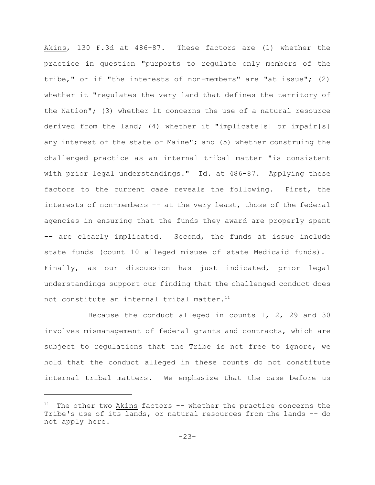Akins, 130 F.3d at 486-87. These factors are (1) whether the practice in question "purports to regulate only members of the tribe," or if "the interests of non-members" are "at issue"; (2) whether it "regulates the very land that defines the territory of the Nation"; (3) whether it concerns the use of a natural resource derived from the land; (4) whether it "implicate[s] or impair[s] any interest of the state of Maine"; and (5) whether construing the challenged practice as an internal tribal matter "is consistent with prior legal understandings." Id. at 486-87. Applying these factors to the current case reveals the following. First, the interests of non-members -- at the very least, those of the federal agencies in ensuring that the funds they award are properly spent -- are clearly implicated. Second, the funds at issue include state funds (count 10 alleged misuse of state Medicaid funds). Finally, as our discussion has just indicated, prior legal understandings support our finding that the challenged conduct does not constitute an internal tribal matter.<sup>11</sup>

Because the conduct alleged in counts  $1, 2, 29$  and 30 involves mismanagement of federal grants and contracts, which are subject to regulations that the Tribe is not free to ignore, we hold that the conduct alleged in these counts do not constitute internal tribal matters. We emphasize that the case before us

 $11$  The other two Akins factors  $-$ - whether the practice concerns the Tribe's use of its lands, or natural resources from the lands -- do not apply here.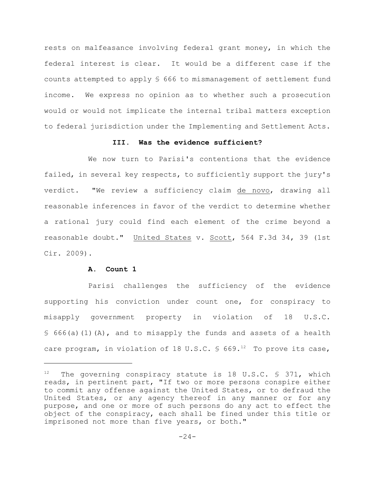rests on malfeasance involving federal grant money, in which the federal interest is clear. It would be a different case if the counts attempted to apply § 666 to mismanagement of settlement fund income. We express no opinion as to whether such a prosecution would or would not implicate the internal tribal matters exception to federal jurisdiction under the Implementing and Settlement Acts.

## **III. Was the evidence sufficient?**

We now turn to Parisi's contentions that the evidence failed, in several key respects, to sufficiently support the jury's verdict. "We review a sufficiency claim de novo, drawing all reasonable inferences in favor of the verdict to determine whether a rational jury could find each element of the crime beyond a reasonable doubt." United States v. Scott, 564 F.3d 34, 39 (1st Cir. 2009).

# **A. Count 1**

Parisi challenges the sufficiency of the evidence supporting his conviction under count one, for conspiracy to misapply government property in violation of 18 U.S.C. § 666(a)(1)(A), and to misapply the funds and assets of a health care program, in violation of 18 U.S.C.  $\frac{1}{5}$  669.<sup>12</sup> To prove its case,

 $12$  The governing conspiracy statute is 18 U.S.C. § 371, which reads, in pertinent part, "If two or more persons conspire either to commit any offense against the United States, or to defraud the United States, or any agency thereof in any manner or for any purpose, and one or more of such persons do any act to effect the object of the conspiracy, each shall be fined under this title or imprisoned not more than five years, or both."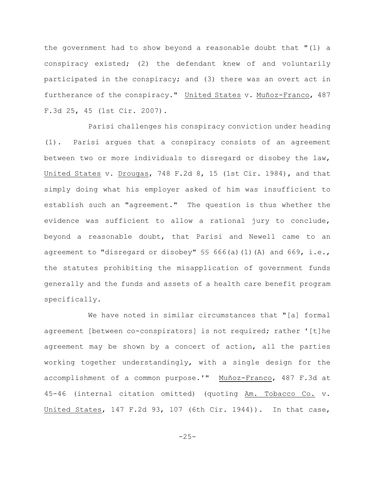the government had to show beyond a reasonable doubt that "(1) a conspiracy existed; (2) the defendant knew of and voluntarily participated in the conspiracy; and (3) there was an overt act in furtherance of the conspiracy." United States v. Muñoz-Franco, 487 F.3d 25, 45 (1st Cir. 2007).

Parisi challenges his conspiracy conviction under heading (1). Parisi argues that a conspiracy consists of an agreement between two or more individuals to disregard or disobey the law, United States v. Drougas, 748 F.2d 8, 15 (1st Cir. 1984), and that simply doing what his employer asked of him was insufficient to establish such an "agreement." The question is thus whether the evidence was sufficient to allow a rational jury to conclude, beyond a reasonable doubt, that Parisi and Newell came to an agreement to "disregard or disobey" §§ 666(a)(1)(A) and 669, i.e., the statutes prohibiting the misapplication of government funds generally and the funds and assets of a health care benefit program specifically.

We have noted in similar circumstances that "[a] formal agreement [between co-conspirators] is not required; rather '[t]he agreement may be shown by a concert of action, all the parties working together understandingly, with a single design for the accomplishment of a common purpose.'" Muñoz-Franco, 487 F.3d at 45-46 (internal citation omitted) (quoting Am. Tobacco Co. v. United States, 147 F.2d 93, 107 (6th Cir. 1944)). In that case,

-25-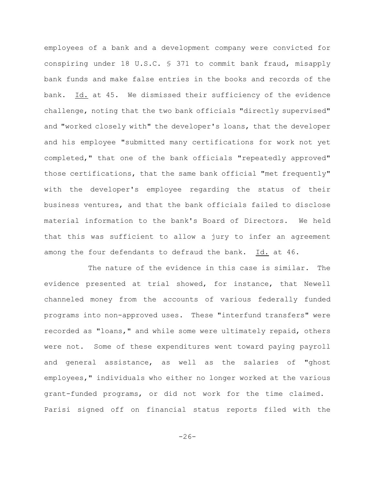employees of a bank and a development company were convicted for conspiring under 18 U.S.C. § 371 to commit bank fraud, misapply bank funds and make false entries in the books and records of the bank. Id. at 45. We dismissed their sufficiency of the evidence challenge, noting that the two bank officials "directly supervised" and "worked closely with" the developer's loans, that the developer and his employee "submitted many certifications for work not yet completed," that one of the bank officials "repeatedly approved" those certifications, that the same bank official "met frequently" with the developer's employee regarding the status of their business ventures, and that the bank officials failed to disclose material information to the bank's Board of Directors. We held that this was sufficient to allow a jury to infer an agreement among the four defendants to defraud the bank. Id. at 46.

The nature of the evidence in this case is similar. The evidence presented at trial showed, for instance, that Newell channeled money from the accounts of various federally funded programs into non-approved uses. These "interfund transfers" were recorded as "loans," and while some were ultimately repaid, others were not. Some of these expenditures went toward paying payroll and general assistance, as well as the salaries of "ghost employees," individuals who either no longer worked at the various grant-funded programs, or did not work for the time claimed. Parisi signed off on financial status reports filed with the

 $-26-$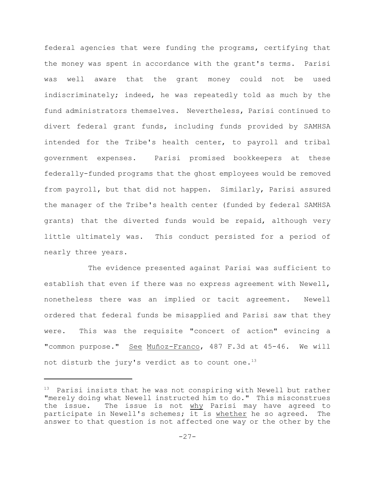federal agencies that were funding the programs, certifying that the money was spent in accordance with the grant's terms. Parisi was well aware that the grant money could not be used indiscriminately; indeed, he was repeatedly told as much by the fund administrators themselves. Nevertheless, Parisi continued to divert federal grant funds, including funds provided by SAMHSA intended for the Tribe's health center, to payroll and tribal government expenses. Parisi promised bookkeepers at these federally-funded programs that the ghost employees would be removed from payroll, but that did not happen. Similarly, Parisi assured the manager of the Tribe's health center (funded by federal SAMHSA grants) that the diverted funds would be repaid, although very little ultimately was. This conduct persisted for a period of nearly three years.

The evidence presented against Parisi was sufficient to establish that even if there was no express agreement with Newell, nonetheless there was an implied or tacit agreement. Newell ordered that federal funds be misapplied and Parisi saw that they were. This was the requisite "concert of action" evincing a "common purpose." See Muñoz-Franco, 487 F.3d at 45-46. We will not disturb the jury's verdict as to count one.<sup>13</sup>

 $13$  Parisi insists that he was not conspiring with Newell but rather "merely doing what Newell instructed him to do." This misconstrues the issue. The issue is not why Parisi may have agreed to participate in Newell's schemes; it is whether he so agreed. The answer to that question is not affected one way or the other by the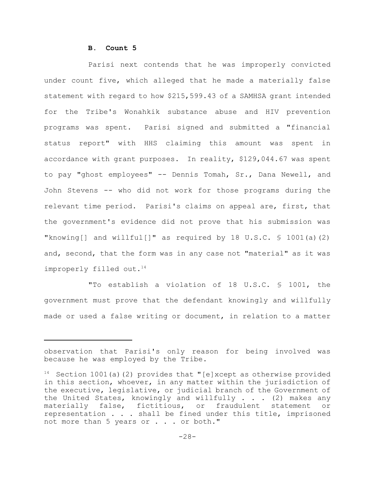## **B. Count 5**

Parisi next contends that he was improperly convicted under count five, which alleged that he made a materially false statement with regard to how \$215,599.43 of a SAMHSA grant intended for the Tribe's Wonahkik substance abuse and HIV prevention programs was spent. Parisi signed and submitted a "financial status report" with HHS claiming this amount was spent in accordance with grant purposes. In reality, \$129,044.67 was spent to pay "ghost employees" -- Dennis Tomah, Sr., Dana Newell, and John Stevens -- who did not work for those programs during the relevant time period. Parisi's claims on appeal are, first, that the government's evidence did not prove that his submission was "knowing[] and willful[]" as required by 18 U.S.C.  $\Im$  1001(a)(2) and, second, that the form was in any case not "material" as it was improperly filled out.<sup>14</sup>

"To establish a violation of 18 U.S.C. § 1001, the government must prove that the defendant knowingly and willfully made or used a false writing or document, in relation to a matter

observation that Parisi's only reason for being involved was because he was employed by the Tribe.

<sup>&</sup>lt;sup>14</sup> Section 1001(a)(2) provides that "[e]xcept as otherwise provided in this section, whoever, in any matter within the jurisdiction of the executive, legislative, or judicial branch of the Government of the United States, knowingly and willfully . . . (2) makes any materially false, fictitious, or fraudulent statement or representation . . . shall be fined under this title, imprisoned not more than 5 years or . . . or both."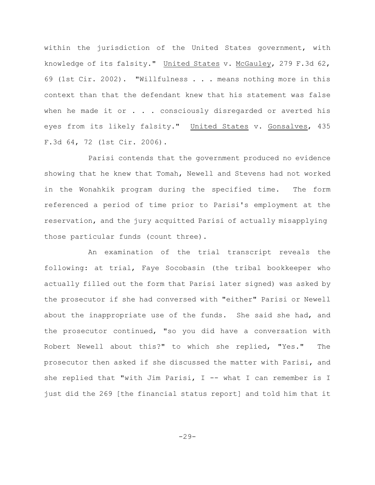within the jurisdiction of the United States government, with knowledge of its falsity." United States v. McGauley, 279 F.3d 62, 69 (1st Cir. 2002). "Willfulness . . . means nothing more in this context than that the defendant knew that his statement was false when he made it or . . . consciously disregarded or averted his eyes from its likely falsity." United States v. Gonsalves, 435 F.3d 64, 72 (1st Cir. 2006).

Parisi contends that the government produced no evidence showing that he knew that Tomah, Newell and Stevens had not worked in the Wonahkik program during the specified time. The form referenced a period of time prior to Parisi's employment at the reservation, and the jury acquitted Parisi of actually misapplying those particular funds (count three).

An examination of the trial transcript reveals the following: at trial, Faye Socobasin (the tribal bookkeeper who actually filled out the form that Parisi later signed) was asked by the prosecutor if she had conversed with "either" Parisi or Newell about the inappropriate use of the funds. She said she had, and the prosecutor continued, "so you did have a conversation with Robert Newell about this?" to which she replied, "Yes." The prosecutor then asked if she discussed the matter with Parisi, and she replied that "with Jim Parisi, I -- what I can remember is I just did the 269 [the financial status report] and told him that it

-29-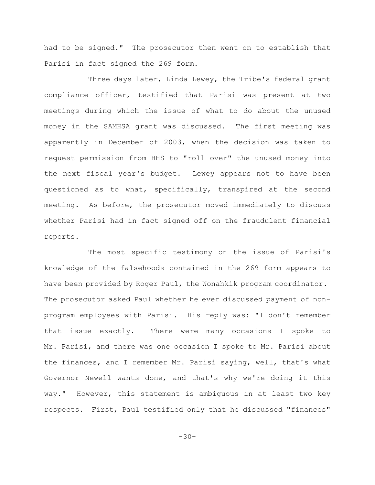had to be signed." The prosecutor then went on to establish that Parisi in fact signed the 269 form.

Three days later, Linda Lewey, the Tribe's federal grant compliance officer, testified that Parisi was present at two meetings during which the issue of what to do about the unused money in the SAMHSA grant was discussed. The first meeting was apparently in December of 2003, when the decision was taken to request permission from HHS to "roll over" the unused money into the next fiscal year's budget. Lewey appears not to have been questioned as to what, specifically, transpired at the second meeting. As before, the prosecutor moved immediately to discuss whether Parisi had in fact signed off on the fraudulent financial reports.

The most specific testimony on the issue of Parisi's knowledge of the falsehoods contained in the 269 form appears to have been provided by Roger Paul, the Wonahkik program coordinator. The prosecutor asked Paul whether he ever discussed payment of nonprogram employees with Parisi. His reply was: "I don't remember that issue exactly. There were many occasions I spoke to Mr. Parisi, and there was one occasion I spoke to Mr. Parisi about the finances, and I remember Mr. Parisi saying, well, that's what Governor Newell wants done, and that's why we're doing it this way." However, this statement is ambiguous in at least two key respects. First, Paul testified only that he discussed "finances"

-30-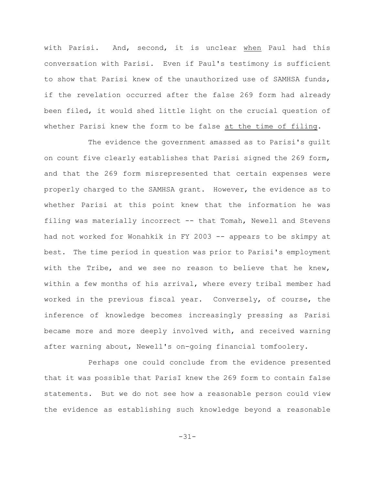with Parisi. And, second, it is unclear when Paul had this conversation with Parisi. Even if Paul's testimony is sufficient to show that Parisi knew of the unauthorized use of SAMHSA funds, if the revelation occurred after the false 269 form had already been filed, it would shed little light on the crucial question of whether Parisi knew the form to be false at the time of filing.

The evidence the government amassed as to Parisi's guilt on count five clearly establishes that Parisi signed the 269 form, and that the 269 form misrepresented that certain expenses were properly charged to the SAMHSA grant. However, the evidence as to whether Parisi at this point knew that the information he was filing was materially incorrect -- that Tomah, Newell and Stevens had not worked for Wonahkik in FY 2003 -- appears to be skimpy at best. The time period in question was prior to Parisi's employment with the Tribe, and we see no reason to believe that he knew, within a few months of his arrival, where every tribal member had worked in the previous fiscal year. Conversely, of course, the inference of knowledge becomes increasingly pressing as Parisi became more and more deeply involved with, and received warning after warning about, Newell's on-going financial tomfoolery.

Perhaps one could conclude from the evidence presented that it was possible that ParisI knew the 269 form to contain false statements. But we do not see how a reasonable person could view the evidence as establishing such knowledge beyond a reasonable

-31-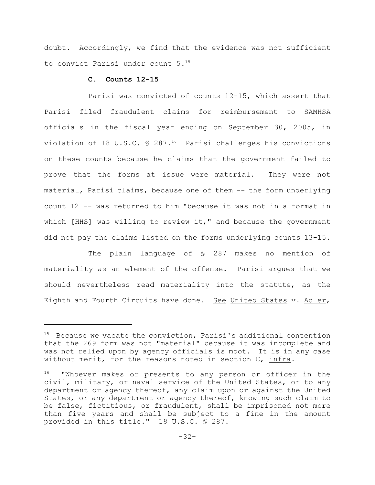doubt. Accordingly, we find that the evidence was not sufficient to convict Parisi under count 5.<sup>15</sup>

#### **C. Counts 12-15**

Parisi was convicted of counts 12-15, which assert that Parisi filed fraudulent claims for reimbursement to SAMHSA officials in the fiscal year ending on September 30, 2005, in violation of 18 U.S.C.  $\frac{1}{2}$  287.<sup>16</sup> Parisi challenges his convictions on these counts because he claims that the government failed to prove that the forms at issue were material. They were not material, Parisi claims, because one of them -- the form underlying count 12 -- was returned to him "because it was not in a format in which [HHS] was willing to review it," and because the government did not pay the claims listed on the forms underlying counts 13-15.

The plain language of § 287 makes no mention of materiality as an element of the offense. Parisi argues that we should nevertheless read materiality into the statute, as the Eighth and Fourth Circuits have done. See United States v. Adler,

 $15$  Because we vacate the conviction, Parisi's additional contention that the 269 form was not "material" because it was incomplete and was not relied upon by agency officials is moot. It is in any case without merit, for the reasons noted in section C, infra.

 $16$  "Whoever makes or presents to any person or officer in the civil, military, or naval service of the United States, or to any department or agency thereof, any claim upon or against the United States, or any department or agency thereof, knowing such claim to be false, fictitious, or fraudulent, shall be imprisoned not more than five years and shall be subject to a fine in the amount provided in this title." 18 U.S.C. § 287.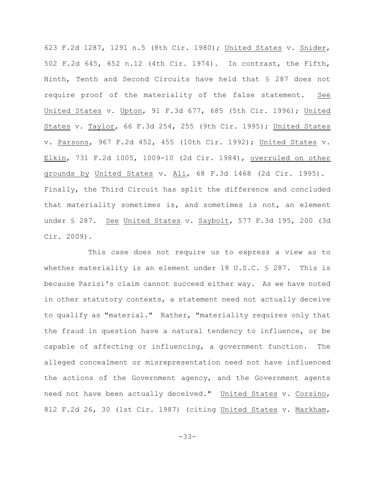623 F.2d 1287, 1291 n.5 (8th Cir. 1980); United States v. Snider, 502 F.2d 645, 652 n.12 (4th Cir. 1974). In contrast, the Fifth, Ninth, Tenth and Second Circuits have held that § 287 does not require proof of the materiality of the false statement. See United States v. Upton, 91 F.3d 677, 685 (5th Cir. 1996); United States v. Taylor, 66 F.3d 254, 255 (9th Cir. 1995); United States v. Parsons, 967 F.2d 452, 455 (10th Cir. 1992); United States v. Elkin, 731 F.2d 1005, 1009-10 (2d Cir. 1984), overruled on other grounds by United States v. Ali, 68 F.3d 1468 (2d Cir. 1995). Finally, the Third Circuit has split the difference and concluded that materiality sometimes is, and sometimes is not, an element under § 287. See United States v. Saybolt, 577 F.3d 195, 200 (3d Cir. 2009).

This case does not require us to express a view as to whether materiality is an element under 18 U.S.C.  $\frac{1}{5}$  287. This is because Parisi's claim cannot succeed either way. As we have noted in other statutory contexts, a statement need not actually deceive to qualify as "material." Rather, "materiality requires only that the fraud in question have a natural tendency to influence, or be capable of affecting or influencing, a government function. The alleged concealment or misrepresentation need not have influenced the actions of the Government agency, and the Government agents need not have been actually deceived." United States v. Corsino, 812 F.2d 26, 30 (1st Cir. 1987) (citing United States v. Markham,

-33-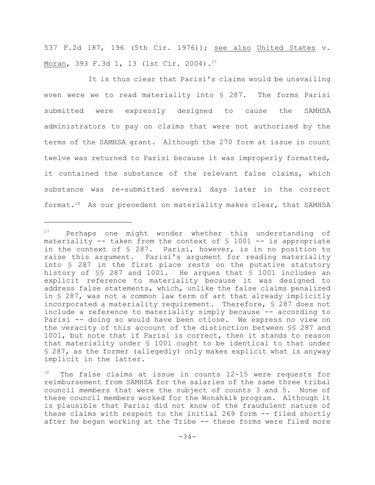537 F.2d 187, 196 (5th Cir. 1976)); see also United States v. Moran, 393 F.3d 1, 13 (1st Cir. 2004).<sup>17</sup>

It is thus clear that Parisi's claims would be unavailing even were we to read materiality into § 287. The forms Parisi submitted were expressly designed to cause the SAMHSA administrators to pay on claims that were not authorized by the terms of the SAMHSA grant. Although the 270 form at issue in count twelve was returned to Parisi because it was improperly formatted, it contained the substance of the relevant false claims, which substance was re-submitted several days later in the correct format.<sup>18</sup> As our precedent on materiality makes clear, that SAMHSA

 $P^1$  Perhaps one might wonder whether this understanding of materiality  $-$  taken from the context of  $\frac{1}{2}$  1001 -- is appropriate in the context of § 287. Parisi, however, is in no position to raise this argument. Parisi's argument for reading materiality into § 287 in the first place rests on the putative statutory history of §§ 287 and 1001. He argues that § 1001 includes an explicit reference to materiality because it was designed to address false statements, which, unlike the false claims penalized in § 287, was not a common law term of art that already implicitly incorporated a materiality requirement. Therefore, § 287 does not include a reference to materiality simply because -- according to Parisi -- doing so would have been otiose. We express no view on the veracity of this account of the distinction between §§ 287 and 1001, but note that if Parisi is correct, then it stands to reason that materiality under § 1001 ought to be identical to that under § 287, as the former (allegedly) only makes explicit what is anyway implicit in the latter.

 $18$  The false claims at issue in counts 12-15 were requests for reimbursement from SAMHSA for the salaries of the same three tribal council members that were the subject of counts 3 and 5. None of these council members worked for the Wonahkik program. Although it is plausible that Parisi did not know of the fraudulent nature of these claims with respect to the initial 269 form -- filed shortly after he began working at the Tribe -- these forms were filed more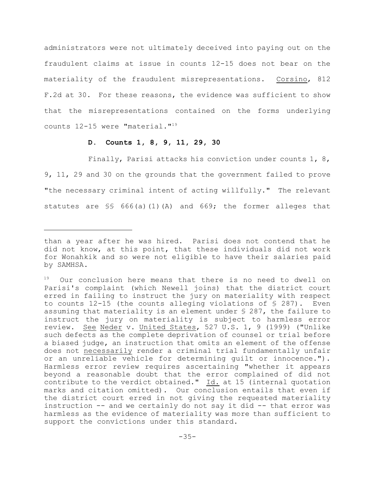administrators were not ultimately deceived into paying out on the fraudulent claims at issue in counts 12-15 does not bear on the materiality of the fraudulent misrepresentations. Corsino, 812 F.2d at 30. For these reasons, the evidence was sufficient to show that the misrepresentations contained on the forms underlying counts 12-15 were "material."<sup>19</sup>

#### **D. Counts 1, 8, 9, 11, 29, 30**

Finally, Parisi attacks his conviction under counts 1, 8, 9, 11, 29 and 30 on the grounds that the government failed to prove "the necessary criminal intent of acting willfully." The relevant statutes are §§ 666(a)(1)(A) and 669; the former alleges that

than a year after he was hired. Parisi does not contend that he did not know, at this point, that these individuals did not work for Wonahkik and so were not eligible to have their salaries paid by SAMHSA.

 $19$  Our conclusion here means that there is no need to dwell on Parisi's complaint (which Newell joins) that the district court erred in failing to instruct the jury on materiality with respect to counts 12-15 (the counts alleging violations of  $\S$  287). Even assuming that materiality is an element under § 287, the failure to instruct the jury on materiality is subject to harmless error review. See Neder v. United States, 527 U.S. 1, 9 (1999) ("Unlike such defects as the complete deprivation of counsel or trial before a biased judge, an instruction that omits an element of the offense does not necessarily render a criminal trial fundamentally unfair or an unreliable vehicle for determining guilt or innocence."). Harmless error review requires ascertaining "whether it appears beyond a reasonable doubt that the error complained of did not contribute to the verdict obtained." Id. at 15 (internal quotation marks and citation omitted). Our conclusion entails that even if the district court erred in not giving the requested materiality instruction -- and we certainly do not say it did -- that error was harmless as the evidence of materiality was more than sufficient to support the convictions under this standard.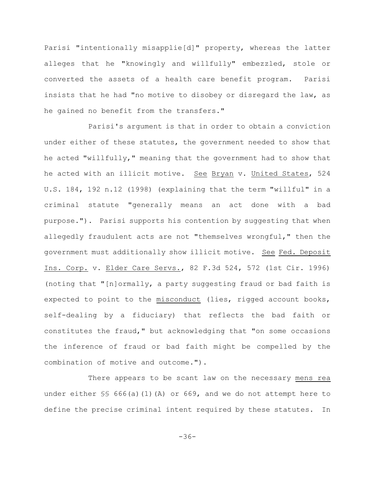Parisi "intentionally misapplie[d]" property, whereas the latter alleges that he "knowingly and willfully" embezzled, stole or converted the assets of a health care benefit program. Parisi insists that he had "no motive to disobey or disregard the law, as he gained no benefit from the transfers."

Parisi's argument is that in order to obtain a conviction under either of these statutes, the government needed to show that he acted "willfully," meaning that the government had to show that he acted with an illicit motive. See Bryan v. United States, 524 U.S. 184, 192 n.12 (1998) (explaining that the term "willful" in a criminal statute "generally means an act done with a bad purpose."). Parisi supports his contention by suggesting that when allegedly fraudulent acts are not "themselves wrongful," then the government must additionally show illicit motive. See Fed. Deposit Ins. Corp. v. Elder Care Servs., 82 F.3d 524, 572 (1st Cir. 1996) (noting that "[n]ormally, a party suggesting fraud or bad faith is expected to point to the misconduct (lies, rigged account books, self-dealing by a fiduciary) that reflects the bad faith or constitutes the fraud," but acknowledging that "on some occasions the inference of fraud or bad faith might be compelled by the combination of motive and outcome.").

There appears to be scant law on the necessary mens rea under either  $\frac{1}{5}$  666(a)(1)(A) or 669, and we do not attempt here to define the precise criminal intent required by these statutes. In

-36-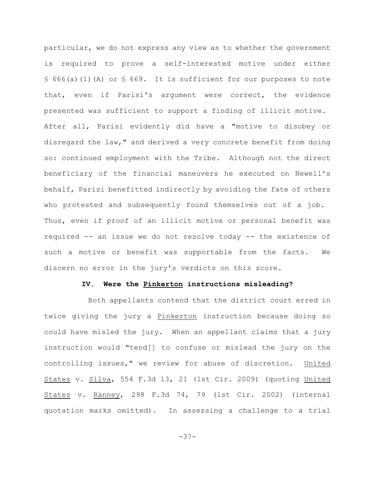particular, we do not express any view as to whether the government is required to prove a self-interested motive under either  $\S$  666(a)(1)(A) or  $\S$  669. It is sufficient for our purposes to note that, even if Parisi's argument were correct, the evidence presented was sufficient to support a finding of illicit motive. After all, Parisi evidently did have a "motive to disobey or disregard the law," and derived a very concrete benefit from doing so: continued employment with the Tribe. Although not the direct beneficiary of the financial maneuvers he executed on Newell's behalf, Parisi benefitted indirectly by avoiding the fate of others who protested and subsequently found themselves out of a job. Thus, even if proof of an illicit motive or personal benefit was required -- an issue we do not resolve today -- the existence of such a motive or benefit was supportable from the facts. We discern no error in the jury's verdicts on this score.

#### **IV. Were the Pinkerton instructions misleading?**

Both appellants contend that the district court erred in twice giving the jury a Pinkerton instruction because doing so could have misled the jury. When an appellant claims that a jury instruction would "tend[] to confuse or mislead the jury on the controlling issues," we review for abuse of discretion. United States v. Silva, 554 F.3d 13, 21 (1st Cir. 2009) (quoting United States v. Ranney, 298 F.3d 74, 79 (1st Cir. 2002) (internal quotation marks omitted). In assessing a challenge to a trial

-37-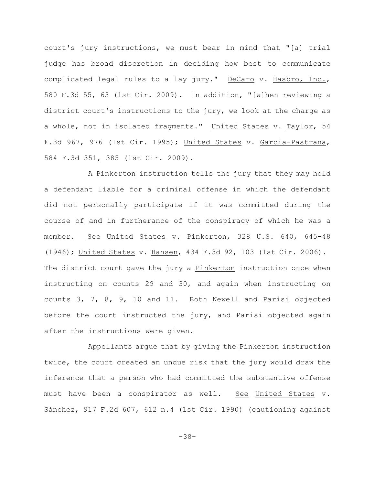court's jury instructions, we must bear in mind that "[a] trial judge has broad discretion in deciding how best to communicate complicated legal rules to a lay jury." DeCaro v. Hasbro, Inc., 580 F.3d 55, 63 (1st Cir. 2009). In addition, "[w]hen reviewing a district court's instructions to the jury, we look at the charge as a whole, not in isolated fragments." United States v. Taylor, 54 F.3d 967, 976 (1st Cir. 1995); United States v. García-Pastrana, 584 F.3d 351, 385 (1st Cir. 2009).

A Pinkerton instruction tells the jury that they may hold a defendant liable for a criminal offense in which the defendant did not personally participate if it was committed during the course of and in furtherance of the conspiracy of which he was a member. See United States v. Pinkerton, 328 U.S. 640, 645-48 (1946); United States v. Hansen, 434 F.3d 92, 103 (1st Cir. 2006). The district court gave the jury a Pinkerton instruction once when instructing on counts 29 and 30, and again when instructing on counts 3, 7, 8, 9, 10 and 11. Both Newell and Parisi objected before the court instructed the jury, and Parisi objected again after the instructions were given.

Appellants argue that by giving the Pinkerton instruction twice, the court created an undue risk that the jury would draw the inference that a person who had committed the substantive offense must have been a conspirator as well. See United States v. Sánchez, 917 F.2d 607, 612 n.4 (1st Cir. 1990) (cautioning against

-38-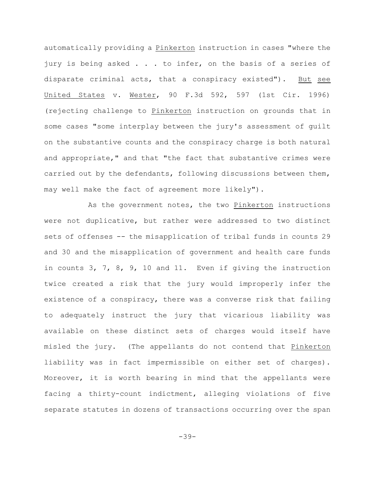automatically providing a Pinkerton instruction in cases "where the jury is being asked . . . to infer, on the basis of a series of disparate criminal acts, that a conspiracy existed"). But see United States v. Wester, 90 F.3d 592, 597 (1st Cir. 1996) (rejecting challenge to Pinkerton instruction on grounds that in some cases "some interplay between the jury's assessment of guilt on the substantive counts and the conspiracy charge is both natural and appropriate," and that "the fact that substantive crimes were carried out by the defendants, following discussions between them, may well make the fact of agreement more likely").

As the government notes, the two Pinkerton instructions were not duplicative, but rather were addressed to two distinct sets of offenses -- the misapplication of tribal funds in counts 29 and 30 and the misapplication of government and health care funds in counts 3, 7, 8, 9, 10 and 11. Even if giving the instruction twice created a risk that the jury would improperly infer the existence of a conspiracy, there was a converse risk that failing to adequately instruct the jury that vicarious liability was available on these distinct sets of charges would itself have misled the jury. (The appellants do not contend that Pinkerton liability was in fact impermissible on either set of charges). Moreover, it is worth bearing in mind that the appellants were facing a thirty-count indictment, alleging violations of five separate statutes in dozens of transactions occurring over the span

-39-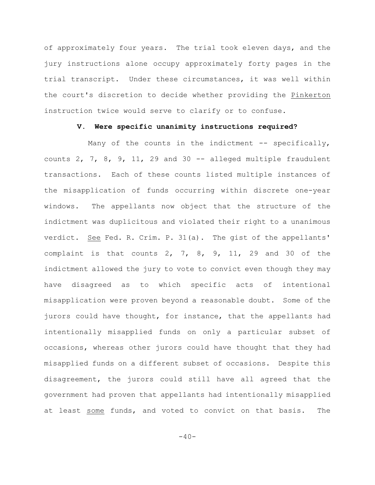of approximately four years. The trial took eleven days, and the jury instructions alone occupy approximately forty pages in the trial transcript. Under these circumstances, it was well within the court's discretion to decide whether providing the Pinkerton instruction twice would serve to clarify or to confuse.

### **V. Were specific unanimity instructions required?**

Many of the counts in the indictment  $-$ - specifically, counts  $2$ ,  $7$ ,  $8$ ,  $9$ ,  $11$ ,  $29$  and  $30$  -- alleged multiple fraudulent transactions. Each of these counts listed multiple instances of the misapplication of funds occurring within discrete one-year windows. The appellants now object that the structure of the indictment was duplicitous and violated their right to a unanimous verdict. See Fed. R. Crim. P. 31(a). The gist of the appellants' complaint is that counts  $2, 7, 8, 9, 11, 29$  and  $30$  of the indictment allowed the jury to vote to convict even though they may have disagreed as to which specific acts of intentional misapplication were proven beyond a reasonable doubt. Some of the jurors could have thought, for instance, that the appellants had intentionally misapplied funds on only a particular subset of occasions, whereas other jurors could have thought that they had misapplied funds on a different subset of occasions. Despite this disagreement, the jurors could still have all agreed that the government had proven that appellants had intentionally misapplied at least some funds, and voted to convict on that basis. The

 $-40-$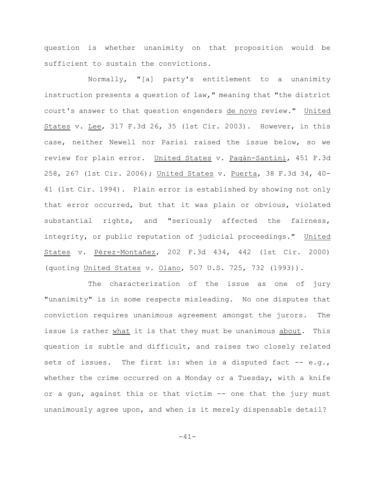question is whether unanimity on that proposition would be sufficient to sustain the convictions.

Normally, "[a] party's entitlement to a unanimity instruction presents a question of law," meaning that "the district court's answer to that question engenders de novo review." United States v. Lee, 317 F.3d 26, 35 (1st Cir. 2003). However, in this case, neither Newell nor Parisi raised the issue below, so we review for plain error. United States v. Pagán-Santini, 451 F.3d 258, 267 (1st Cir. 2006); United States v. Puerta, 38 F.3d 34, 40- 41 (1st Cir. 1994). Plain error is established by showing not only that error occurred, but that it was plain or obvious, violated substantial rights, and "seriously affected the fairness, integrity, or public reputation of judicial proceedings." United States v. Pérez-Montañez, 202 F.3d 434, 442 (1st Cir. 2000) (quoting United States v. Olano, 507 U.S. 725, 732 (1993)).

The characterization of the issue as one of jury "unanimity" is in some respects misleading. No one disputes that conviction requires unanimous agreement amongst the jurors. The issue is rather what it is that they must be unanimous about. This question is subtle and difficult, and raises two closely related sets of issues. The first is: when is a disputed fact  $-$  e.g., whether the crime occurred on a Monday or a Tuesday, with a knife or a gun, against this or that victim -- one that the jury must unanimously agree upon, and when is it merely dispensable detail?

-41-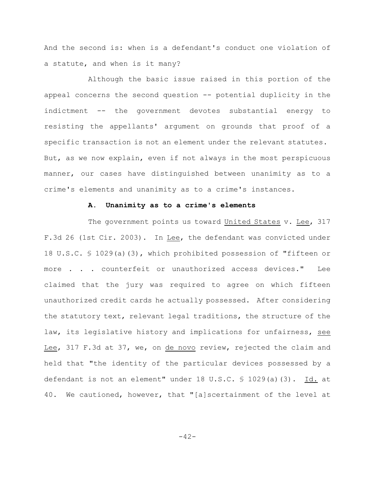And the second is: when is a defendant's conduct one violation of a statute, and when is it many?

Although the basic issue raised in this portion of the appeal concerns the second question -- potential duplicity in the indictment -- the government devotes substantial energy to resisting the appellants' argument on grounds that proof of a specific transaction is not an element under the relevant statutes. But, as we now explain, even if not always in the most perspicuous manner, our cases have distinguished between unanimity as to a crime's elements and unanimity as to a crime's instances.

## **A. Unanimity as to a crime's elements**

The government points us toward United States v. Lee, 317 F.3d 26 (1st Cir. 2003). In Lee, the defendant was convicted under 18 U.S.C. § 1029(a)(3), which prohibited possession of "fifteen or more . . . counterfeit or unauthorized access devices." Lee claimed that the jury was required to agree on which fifteen unauthorized credit cards he actually possessed. After considering the statutory text, relevant legal traditions, the structure of the law, its legislative history and implications for unfairness, see Lee, 317 F.3d at 37, we, on de novo review, rejected the claim and held that "the identity of the particular devices possessed by a defendant is not an element" under 18 U.S.C. § 1029(a)(3). Id. at 40. We cautioned, however, that "[a]scertainment of the level at

-42-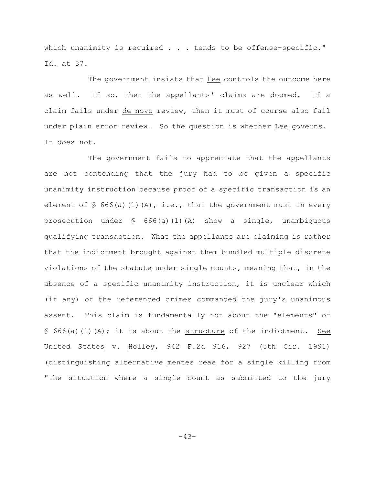which unanimity is required . . . tends to be offense-specific." Id. at 37.

The government insists that Lee controls the outcome here as well. If so, then the appellants' claims are doomed. If a claim fails under de novo review, then it must of course also fail under plain error review. So the question is whether Lee governs. It does not.

The government fails to appreciate that the appellants are not contending that the jury had to be given a specific unanimity instruction because proof of a specific transaction is an element of  $\frac{1}{5}$  666(a)(1)(A), i.e., that the government must in every prosecution under  $\frac{1}{5}$  666(a)(1)(A) show a single, unambiguous qualifying transaction. What the appellants are claiming is rather that the indictment brought against them bundled multiple discrete violations of the statute under single counts, meaning that, in the absence of a specific unanimity instruction, it is unclear which (if any) of the referenced crimes commanded the jury's unanimous assent. This claim is fundamentally not about the "elements" of  $\{5\}$  666(a)(1)(A); it is about the structure of the indictment. See United States v. Holley, 942 F.2d 916, 927 (5th Cir. 1991) (distinguishing alternative mentes reae for a single killing from "the situation where a single count as submitted to the jury

-43-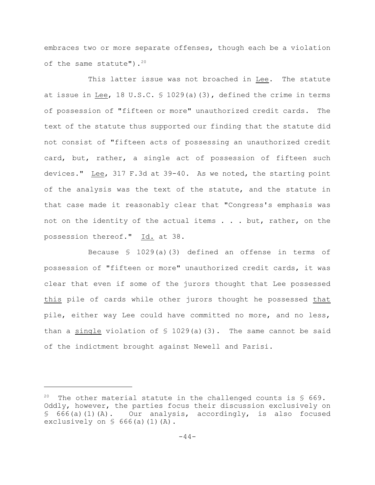embraces two or more separate offenses, though each be a violation of the same statute"). $20$ 

This latter issue was not broached in Lee. The statute at issue in Lee, 18 U.S.C. § 1029(a)(3), defined the crime in terms of possession of "fifteen or more" unauthorized credit cards. The text of the statute thus supported our finding that the statute did not consist of "fifteen acts of possessing an unauthorized credit card, but, rather, a single act of possession of fifteen such devices." Lee, 317 F.3d at 39-40. As we noted, the starting point of the analysis was the text of the statute, and the statute in that case made it reasonably clear that "Congress's emphasis was not on the identity of the actual items . . . but, rather, on the possession thereof." Id. at 38.

Because § 1029(a)(3) defined an offense in terms of possession of "fifteen or more" unauthorized credit cards, it was clear that even if some of the jurors thought that Lee possessed this pile of cards while other jurors thought he possessed that pile, either way Lee could have committed no more, and no less, than a single violation of  $\frac{1}{2}$  1029(a)(3). The same cannot be said of the indictment brought against Newell and Parisi.

<sup>&</sup>lt;sup>20</sup> The other material statute in the challenged counts is  $\frac{1}{5}$  669. Oddly, however, the parties focus their discussion exclusively on § 666(a)(1)(A). Our analysis, accordingly, is also focused exclusively on  $\S$  666(a)(1)(A).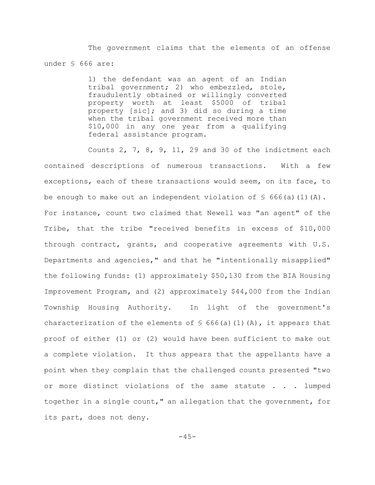The government claims that the elements of an offense under § 666 are:

> 1) the defendant was an agent of an Indian tribal government; 2) who embezzled, stole, fraudulently obtained or willingly converted property worth at least \$5000 of tribal property [sic]; and 3) did so during a time when the tribal government received more than \$10,000 in any one year from a qualifying federal assistance program.

Counts 2, 7, 8, 9, 11, 29 and 30 of the indictment each contained descriptions of numerous transactions. With a few exceptions, each of these transactions would seem, on its face, to be enough to make out an independent violation of  $\frac{1}{5}$  666(a)(1)(A). For instance, count two claimed that Newell was "an agent" of the Tribe, that the tribe "received benefits in excess of \$10,000 through contract, grants, and cooperative agreements with U.S. Departments and agencies," and that he "intentionally misapplied" the following funds: (1) approximately \$50,130 from the BIA Housing Improvement Program, and (2) approximately \$44,000 from the Indian Township Housing Authority. In light of the government's characterization of the elements of  $\frac{1}{2}$  666(a)(1)(A), it appears that proof of either (1) or (2) would have been sufficient to make out a complete violation. It thus appears that the appellants have a point when they complain that the challenged counts presented "two or more distinct violations of the same statute . . . lumped together in a single count," an allegation that the government, for its part, does not deny.

 $-45-$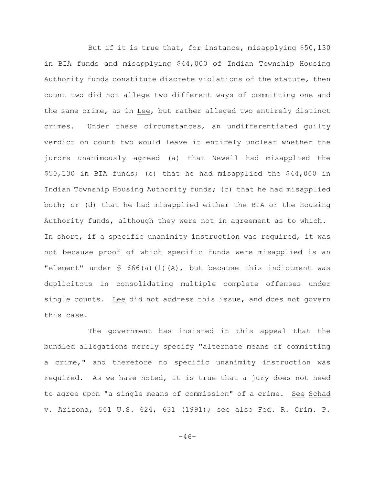But if it is true that, for instance, misapplying \$50,130 in BIA funds and misapplying \$44,000 of Indian Township Housing Authority funds constitute discrete violations of the statute, then count two did not allege two different ways of committing one and the same crime, as in Lee, but rather alleged two entirely distinct crimes. Under these circumstances, an undifferentiated guilty verdict on count two would leave it entirely unclear whether the jurors unanimously agreed (a) that Newell had misapplied the \$50,130 in BIA funds; (b) that he had misapplied the \$44,000 in Indian Township Housing Authority funds; (c) that he had misapplied both; or (d) that he had misapplied either the BIA or the Housing Authority funds, although they were not in agreement as to which. In short, if a specific unanimity instruction was required, it was not because proof of which specific funds were misapplied is an "element" under  $\frac{1}{5}$  666(a)(1)(A), but because this indictment was duplicitous in consolidating multiple complete offenses under single counts. Lee did not address this issue, and does not govern this case.

The government has insisted in this appeal that the bundled allegations merely specify "alternate means of committing a crime," and therefore no specific unanimity instruction was required. As we have noted, it is true that a jury does not need to agree upon "a single means of commission" of a crime. See Schad v. Arizona, 501 U.S. 624, 631 (1991); see also Fed. R. Crim. P.

 $-46-$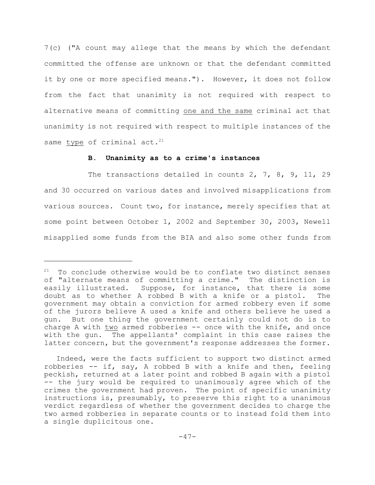7(c) ("A count may allege that the means by which the defendant committed the offense are unknown or that the defendant committed it by one or more specified means."). However, it does not follow from the fact that unanimity is not required with respect to alternative means of committing one and the same criminal act that unanimity is not required with respect to multiple instances of the same type of criminal act.<sup>21</sup>

## **B. Unanimity as to a crime's instances**

The transactions detailed in counts 2, 7, 8, 9, 11, 29 and 30 occurred on various dates and involved misapplications from various sources. Count two, for instance, merely specifies that at some point between October 1, 2002 and September 30, 2003, Newell misapplied some funds from the BIA and also some other funds from

 $21$  To conclude otherwise would be to conflate two distinct senses of "alternate means of committing a crime." The distinction is easily illustrated. Suppose, for instance, that there is some doubt as to whether A robbed B with a knife or a pistol. The government may obtain a conviction for armed robbery even if some of the jurors believe A used a knife and others believe he used a gun. But one thing the government certainly could not do is to charge A with two armed robberies -- once with the knife, and once with the gun. The appellants' complaint in this case raises the latter concern, but the government's response addresses the former.

Indeed, were the facts sufficient to support two distinct armed robberies -- if, say, A robbed B with a knife and then, feeling peckish, returned at a later point and robbed B again with a pistol -- the jury would be required to unanimously agree which of the crimes the government had proven. The point of specific unanimity instructions is, presumably, to preserve this right to a unanimous verdict regardless of whether the government decides to charge the two armed robberies in separate counts or to instead fold them into a single duplicitous one.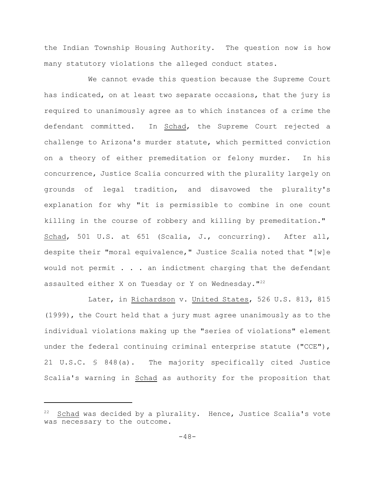the Indian Township Housing Authority. The question now is how many statutory violations the alleged conduct states.

We cannot evade this question because the Supreme Court has indicated, on at least two separate occasions, that the jury is required to unanimously agree as to which instances of a crime the defendant committed. In Schad, the Supreme Court rejected a challenge to Arizona's murder statute, which permitted conviction on a theory of either premeditation or felony murder. In his concurrence, Justice Scalia concurred with the plurality largely on grounds of legal tradition, and disavowed the plurality's explanation for why "it is permissible to combine in one count killing in the course of robbery and killing by premeditation." Schad, 501 U.S. at 651 (Scalia, J., concurring). After all, despite their "moral equivalence," Justice Scalia noted that "[w]e would not permit . . . an indictment charging that the defendant assaulted either X on Tuesday or Y on Wednesday.  $122$ 

Later, in Richardson v. United States, 526 U.S. 813, 815 (1999), the Court held that a jury must agree unanimously as to the individual violations making up the "series of violations" element under the federal continuing criminal enterprise statute ("CCE"), 21 U.S.C. § 848(a). The majority specifically cited Justice Scalia's warning in Schad as authority for the proposition that

 $22$  Schad was decided by a plurality. Hence, Justice Scalia's vote was necessary to the outcome.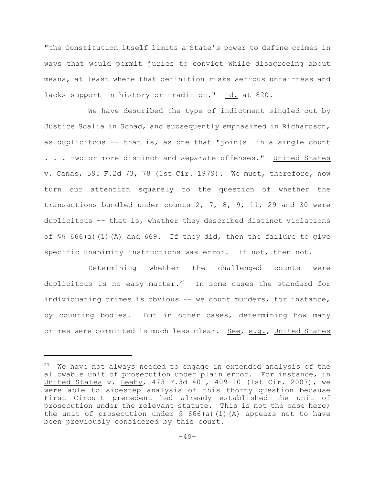"the Constitution itself limits a State's power to define crimes in ways that would permit juries to convict while disagreeing about means, at least where that definition risks serious unfairness and lacks support in history or tradition." Id. at 820.

We have described the type of indictment singled out by Justice Scalia in Schad, and subsequently emphasized in Richardson, as duplicitous  $-$  that is, as one that "join[s] in a single count . . . two or more distinct and separate offenses." United States v. Canas, 595 F.2d 73, 78 (1st Cir. 1979). We must, therefore, now turn our attention squarely to the question of whether the transactions bundled under counts 2, 7, 8, 9, 11, 29 and 30 were duplicitous -- that is, whether they described distinct violations of §§ 666(a)(1)(A) and 669. If they did, then the failure to give specific unanimity instructions was error. If not, then not.

Determining whether the challenged counts were duplicitous is no easy matter.<sup>23</sup> In some cases the standard for individuating crimes is obvious -- we count murders, for instance, by counting bodies. But in other cases, determining how many crimes were committed is much less clear. See, e.g., United States

 $23$  We have not always needed to engage in extended analysis of the allowable unit of prosecution under plain error. For instance, in United States v. Leahy, 473 F.3d 401, 409-10 (1st Cir. 2007), we were able to sidestep analysis of this thorny question because First Circuit precedent had already established the unit of prosecution under the relevant statute. This is not the case here; the unit of prosecution under  $\frac{1}{5}$  666(a)(1)(A) appears not to have been previously considered by this court.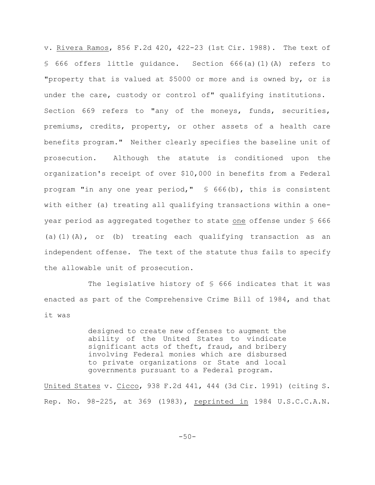v. Rivera Ramos, 856 F.2d 420, 422-23 (1st Cir. 1988). The text of § 666 offers little guidance. Section 666(a)(1)(A) refers to "property that is valued at \$5000 or more and is owned by, or is under the care, custody or control of" qualifying institutions. Section 669 refers to "any of the moneys, funds, securities, premiums, credits, property, or other assets of a health care benefits program." Neither clearly specifies the baseline unit of prosecution. Although the statute is conditioned upon the organization's receipt of over \$10,000 in benefits from a Federal program "in any one year period," § 666(b), this is consistent with either (a) treating all qualifying transactions within a oneyear period as aggregated together to state one offense under § 666 (a)(1)(A), or (b) treating each qualifying transaction as an independent offense. The text of the statute thus fails to specify the allowable unit of prosecution.

The legislative history of  $S$  666 indicates that it was enacted as part of the Comprehensive Crime Bill of 1984, and that it was

> designed to create new offenses to augment the ability of the United States to vindicate significant acts of theft, fraud, and bribery involving Federal monies which are disbursed to private organizations or State and local governments pursuant to a Federal program.

United States v. Cicco, 938 F.2d 441, 444 (3d Cir. 1991) (citing S. Rep. No. 98-225, at 369 (1983), reprinted in 1984 U.S.C.C.A.N.

-50-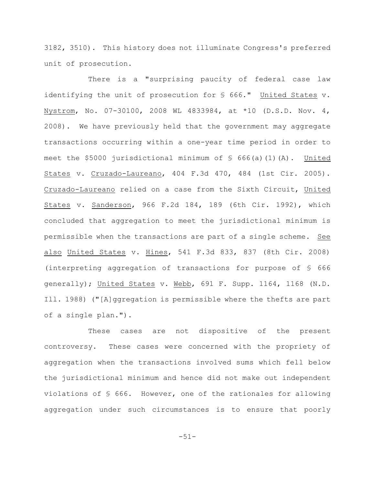3182, 3510). This history does not illuminate Congress's preferred unit of prosecution.

There is a "surprising paucity of federal case law identifying the unit of prosecution for § 666." United States v. Nystrom, No. 07-30100, 2008 WL 4833984, at \*10 (D.S.D. Nov. 4, 2008). We have previously held that the government may aggregate transactions occurring within a one-year time period in order to meet the \$5000 jurisdictional minimum of  $\frac{1}{5}$  666(a)(1)(A). United States v. Cruzado-Laureano, 404 F.3d 470, 484 (1st Cir. 2005). Cruzado-Laureano relied on a case from the Sixth Circuit, United States v. Sanderson, 966 F.2d 184, 189 (6th Cir. 1992), which concluded that aggregation to meet the jurisdictional minimum is permissible when the transactions are part of a single scheme. See also United States v. Hines, 541 F.3d 833, 837 (8th Cir. 2008) (interpreting aggregation of transactions for purpose of § 666 generally); United States v. Webb, 691 F. Supp. 1164, 1168 (N.D. Ill. 1988) ("[A]ggregation is permissible where the thefts are part of a single plan.").

These cases are not dispositive of the present controversy. These cases were concerned with the propriety of aggregation when the transactions involved sums which fell below the jurisdictional minimum and hence did not make out independent violations of § 666. However, one of the rationales for allowing aggregation under such circumstances is to ensure that poorly

-51-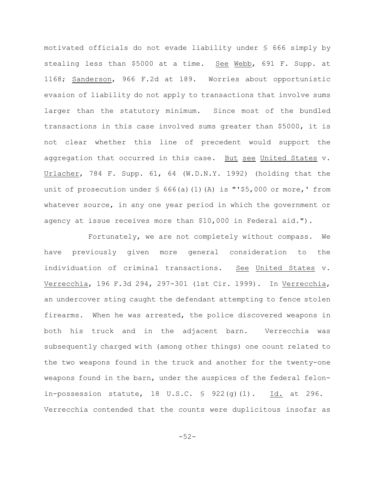motivated officials do not evade liability under § 666 simply by stealing less than \$5000 at a time. See Webb, 691 F. Supp. at 1168; Sanderson, 966 F.2d at 189. Worries about opportunistic evasion of liability do not apply to transactions that involve sums larger than the statutory minimum. Since most of the bundled transactions in this case involved sums greater than \$5000, it is not clear whether this line of precedent would support the aggregation that occurred in this case. But see United States v. Urlacher, 784 F. Supp. 61, 64 (W.D.N.Y. 1992) (holding that the unit of prosecution under  $\frac{1}{5}$  666(a)(1)(A) is "'\$5,000 or more,' from whatever source, in any one year period in which the government or agency at issue receives more than \$10,000 in Federal aid.").

Fortunately, we are not completely without compass. We have previously given more general consideration to the individuation of criminal transactions. See United States v. Verrecchia, 196 F.3d 294, 297-301 (1st Cir. 1999). In Verrecchia, an undercover sting caught the defendant attempting to fence stolen firearms. When he was arrested, the police discovered weapons in both his truck and in the adjacent barn. Verrecchia was subsequently charged with (among other things) one count related to the two weapons found in the truck and another for the twenty-one weapons found in the barn, under the auspices of the federal felonin-possession statute,  $18$  U.S.C.  $\frac{6}{5}$  922(g)(1). Id. at 296. Verrecchia contended that the counts were duplicitous insofar as

-52-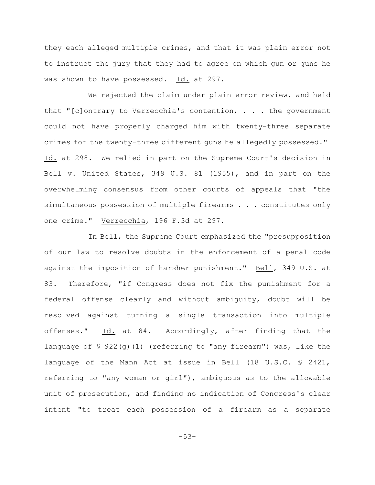they each alleged multiple crimes, and that it was plain error not to instruct the jury that they had to agree on which gun or guns he was shown to have possessed. Id. at 297.

We rejected the claim under plain error review, and held that "[c]ontrary to Verrecchia's contention, . . . the government could not have properly charged him with twenty-three separate crimes for the twenty-three different guns he allegedly possessed." Id. at 298. We relied in part on the Supreme Court's decision in Bell v. United States, 349 U.S. 81 (1955), and in part on the overwhelming consensus from other courts of appeals that "the simultaneous possession of multiple firearms . . . constitutes only one crime." Verrecchia, 196 F.3d at 297.

In Bell, the Supreme Court emphasized the "presupposition of our law to resolve doubts in the enforcement of a penal code against the imposition of harsher punishment." Bell, 349 U.S. at 83. Therefore, "if Congress does not fix the punishment for a federal offense clearly and without ambiguity, doubt will be resolved against turning a single transaction into multiple offenses." Id. at 84. Accordingly, after finding that the language of § 922(g)(1) (referring to "any firearm") was, like the language of the Mann Act at issue in Bell (18 U.S.C. § 2421, referring to "any woman or girl"), ambiguous as to the allowable unit of prosecution, and finding no indication of Congress's clear intent "to treat each possession of a firearm as a separate

-53-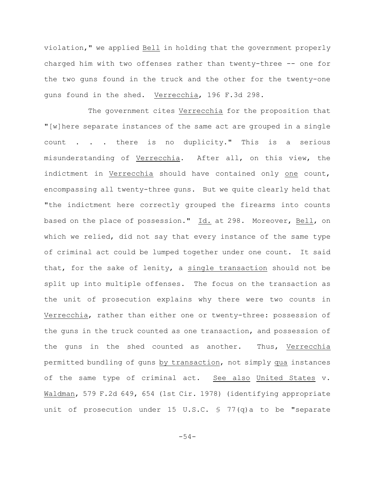violation," we applied Bell in holding that the government properly charged him with two offenses rather than twenty-three -- one for the two guns found in the truck and the other for the twenty-one guns found in the shed. Verrecchia, 196 F.3d 298.

The government cites Verrecchia for the proposition that "[w]here separate instances of the same act are grouped in a single count . . . there is no duplicity." This is a serious misunderstanding of Verrecchia. After all, on this view, the indictment in Verrecchia should have contained only one count, encompassing all twenty-three guns. But we quite clearly held that "the indictment here correctly grouped the firearms into counts based on the place of possession." Id. at 298. Moreover, Bell, on which we relied, did not say that every instance of the same type of criminal act could be lumped together under one count. It said that, for the sake of lenity, a single transaction should not be split up into multiple offenses. The focus on the transaction as the unit of prosecution explains why there were two counts in Verrecchia, rather than either one or twenty-three: possession of the guns in the truck counted as one transaction, and possession of the guns in the shed counted as another. Thus, Verrecchia permitted bundling of guns by transaction, not simply qua instances of the same type of criminal act. See also United States v. Waldman, 579 F.2d 649, 654 (1st Cir. 1978) (identifying appropriate unit of prosecution under 15 U.S.C. § 77(q)a to be "separate

-54-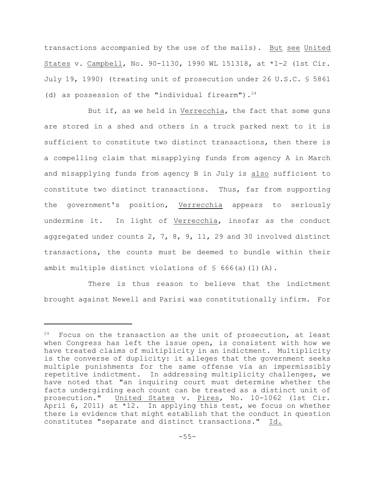transactions accompanied by the use of the mails). But see United States v. Campbell, No. 90-1130, 1990 WL 151318, at \*1-2 (1st Cir. July 19, 1990) (treating unit of prosecution under 26 U.S.C. § 5861 (d) as possession of the "individual firearm").  $24$ 

But if, as we held in Verrecchia, the fact that some guns are stored in a shed and others in a truck parked next to it is sufficient to constitute two distinct transactions, then there is a compelling claim that misapplying funds from agency A in March and misapplying funds from agency B in July is also sufficient to constitute two distinct transactions. Thus, far from supporting the government's position, Verrecchia appears to seriously undermine it. In light of Verrecchia, insofar as the conduct aggregated under counts 2, 7, 8, 9, 11, 29 and 30 involved distinct transactions, the counts must be deemed to bundle within their ambit multiple distinct violations of  $\frac{1}{5}$  666(a)(1)(A).

There is thus reason to believe that the indictment brought against Newell and Parisi was constitutionally infirm. For

 $24$  Focus on the transaction as the unit of prosecution, at least when Congress has left the issue open, is consistent with how we have treated claims of multiplicity in an indictment. Multiplicity is the converse of duplicity: it alleges that the government seeks multiple punishments for the same offense via an impermissibly repetitive indictment. In addressing multiplicity challenges, we have noted that "an inquiring court must determine whether the facts undergirding each count can be treated as a distinct unit of prosecution." United States v. Pires, No. 10-1062 (1st Cir. April 6, 2011) at  $*12$ . In applying this test, we focus on whether there is evidence that might establish that the conduct in question constitutes "separate and distinct transactions." Id.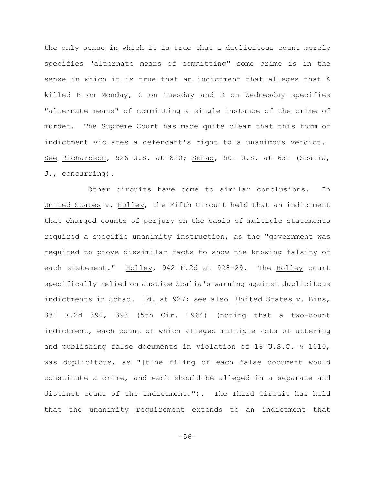the only sense in which it is true that a duplicitous count merely specifies "alternate means of committing" some crime is in the sense in which it is true that an indictment that alleges that A killed B on Monday, C on Tuesday and D on Wednesday specifies "alternate means" of committing a single instance of the crime of murder. The Supreme Court has made quite clear that this form of indictment violates a defendant's right to a unanimous verdict. See Richardson, 526 U.S. at 820; Schad, 501 U.S. at 651 (Scalia, J., concurring).

Other circuits have come to similar conclusions. In United States v. Holley, the Fifth Circuit held that an indictment that charged counts of perjury on the basis of multiple statements required a specific unanimity instruction, as the "government was required to prove dissimilar facts to show the knowing falsity of each statement." Holley, 942 F.2d at 928-29. The Holley court specifically relied on Justice Scalia's warning against duplicitous indictments in Schad. Id. at 927; see also United States v. Bins, 331 F.2d 390, 393 (5th Cir. 1964) (noting that a two-count indictment, each count of which alleged multiple acts of uttering and publishing false documents in violation of 18 U.S.C. § 1010, was duplicitous, as "[t]he filing of each false document would constitute a crime, and each should be alleged in a separate and distinct count of the indictment."). The Third Circuit has held that the unanimity requirement extends to an indictment that

-56-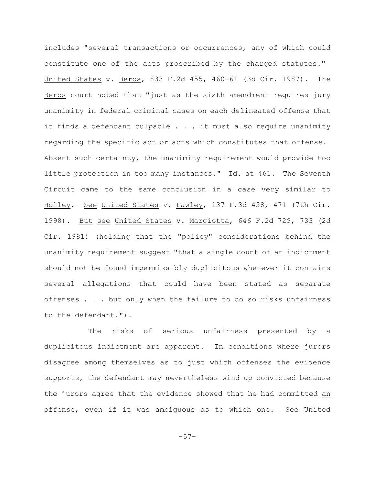includes "several transactions or occurrences, any of which could constitute one of the acts proscribed by the charged statutes." United States v. Beros, 833 F.2d 455, 460-61 (3d Cir. 1987). The Beros court noted that "just as the sixth amendment requires jury unanimity in federal criminal cases on each delineated offense that it finds a defendant culpable  $\ldots$  . it must also require unanimity regarding the specific act or acts which constitutes that offense. Absent such certainty, the unanimity requirement would provide too little protection in too many instances." Id. at 461. The Seventh Circuit came to the same conclusion in a case very similar to Holley. See United States v. Fawley, 137 F.3d 458, 471 (7th Cir. 1998). But see United States v. Margiotta, 646 F.2d 729, 733 (2d Cir. 1981) (holding that the "policy" considerations behind the unanimity requirement suggest "that a single count of an indictment should not be found impermissibly duplicitous whenever it contains several allegations that could have been stated as separate offenses . . . but only when the failure to do so risks unfairness to the defendant.").

The risks of serious unfairness presented by a duplicitous indictment are apparent. In conditions where jurors disagree among themselves as to just which offenses the evidence supports, the defendant may nevertheless wind up convicted because the jurors agree that the evidence showed that he had committed an offense, even if it was ambiguous as to which one. See United

-57-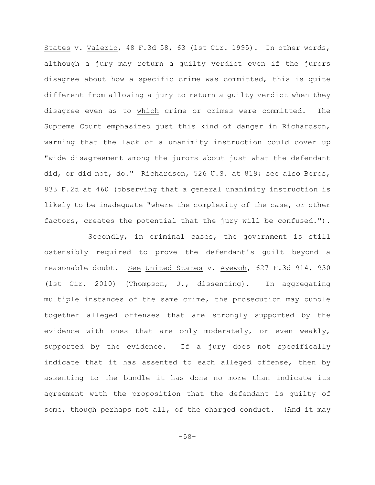States v. Valerio, 48 F.3d 58, 63 (1st Cir. 1995). In other words, although a jury may return a guilty verdict even if the jurors disagree about how a specific crime was committed, this is quite different from allowing a jury to return a guilty verdict when they disagree even as to which crime or crimes were committed. The Supreme Court emphasized just this kind of danger in Richardson, warning that the lack of a unanimity instruction could cover up "wide disagreement among the jurors about just what the defendant did, or did not, do." Richardson, 526 U.S. at 819; see also Beros, 833 F.2d at 460 (observing that a general unanimity instruction is likely to be inadequate "where the complexity of the case, or other factors, creates the potential that the jury will be confused.").

Secondly, in criminal cases, the government is still ostensibly required to prove the defendant's guilt beyond a reasonable doubt. See United States v. Ayewoh, 627 F.3d 914, 930 (1st Cir. 2010) (Thompson, J., dissenting). In aggregating multiple instances of the same crime, the prosecution may bundle together alleged offenses that are strongly supported by the evidence with ones that are only moderately, or even weakly, supported by the evidence. If a jury does not specifically indicate that it has assented to each alleged offense, then by assenting to the bundle it has done no more than indicate its agreement with the proposition that the defendant is guilty of some, though perhaps not all, of the charged conduct. (And it may

-58-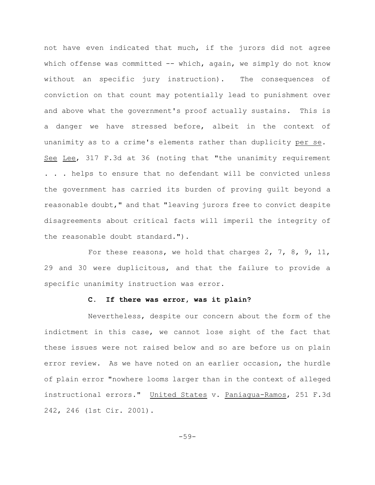not have even indicated that much, if the jurors did not agree which offense was committed  $--$  which, again, we simply do not know without an specific jury instruction). The consequences of conviction on that count may potentially lead to punishment over and above what the government's proof actually sustains. This is a danger we have stressed before, albeit in the context of unanimity as to a crime's elements rather than duplicity per se. See Lee, 317 F.3d at 36 (noting that "the unanimity requirement . . . helps to ensure that no defendant will be convicted unless the government has carried its burden of proving guilt beyond a reasonable doubt," and that "leaving jurors free to convict despite disagreements about critical facts will imperil the integrity of the reasonable doubt standard.").

For these reasons, we hold that charges 2, 7, 8, 9, 11, 29 and 30 were duplicitous, and that the failure to provide a specific unanimity instruction was error.

# **C. If there was error, was it plain?**

Nevertheless, despite our concern about the form of the indictment in this case, we cannot lose sight of the fact that these issues were not raised below and so are before us on plain error review. As we have noted on an earlier occasion, the hurdle of plain error "nowhere looms larger than in the context of alleged instructional errors." United States v. Paniagua-Ramos, 251 F.3d 242, 246 (1st Cir. 2001).

-59-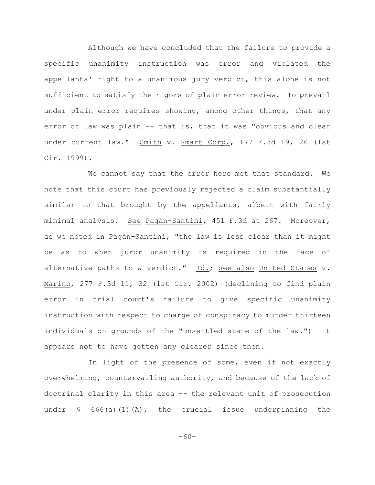Although we have concluded that the failure to provide a specific unanimity instruction was error and violated the appellants' right to a unanimous jury verdict, this alone is not sufficient to satisfy the rigors of plain error review. To prevail under plain error requires showing, among other things, that any error of law was plain -- that is, that it was "obvious and clear under current law." Smith v. Kmart Corp., 177 F.3d 19, 26 (1st Cir. 1999).

We cannot say that the error here met that standard. We note that this court has previously rejected a claim substantially similar to that brought by the appellants, albeit with fairly minimal analysis. See Pagán-Santini, 451 F.3d at 267. Moreover, as we noted in Pagán-Santini, "the law is less clear than it might be as to when juror unanimity is required in the face of alternative paths to a verdict." Id.; see also United States v. Marino, 277 F.3d 11, 32 (1st Cir. 2002) (declining to find plain error in trial court's failure to give specific unanimity instruction with respect to charge of conspiracy to murder thirteen individuals on grounds of the "unsettled state of the law.") It appears not to have gotten any clearer since then.

In light of the presence of some, even if not exactly overwhelming, countervailing authority, and because of the lack of doctrinal clarity in this area -- the relevant unit of prosecution under  $\S$  666(a)(1)(A), the crucial issue underpinning the

-60-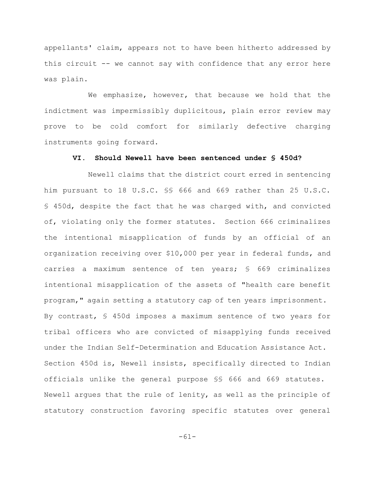appellants' claim, appears not to have been hitherto addressed by this circuit -- we cannot say with confidence that any error here was plain.

We emphasize, however, that because we hold that the indictment was impermissibly duplicitous, plain error review may prove to be cold comfort for similarly defective charging instruments going forward.

## **VI. Should Newell have been sentenced under § 450d?**

Newell claims that the district court erred in sentencing him pursuant to 18 U.S.C. §§ 666 and 669 rather than 25 U.S.C. § 450d, despite the fact that he was charged with, and convicted of, violating only the former statutes. Section 666 criminalizes the intentional misapplication of funds by an official of an organization receiving over \$10,000 per year in federal funds, and carries a maximum sentence of ten years; § 669 criminalizes intentional misapplication of the assets of "health care benefit program," again setting a statutory cap of ten years imprisonment. By contrast, § 450d imposes a maximum sentence of two years for tribal officers who are convicted of misapplying funds received under the Indian Self-Determination and Education Assistance Act. Section 450d is, Newell insists, specifically directed to Indian officials unlike the general purpose §§ 666 and 669 statutes. Newell argues that the rule of lenity, as well as the principle of statutory construction favoring specific statutes over general

-61-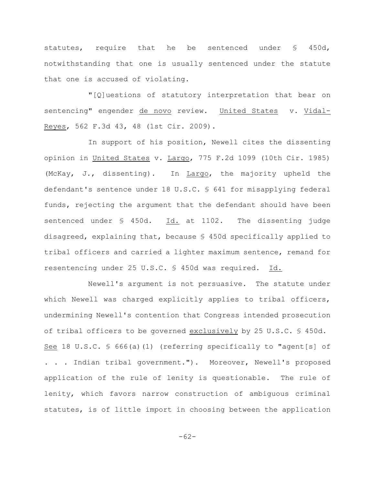statutes, require that he be sentenced under § 450d, notwithstanding that one is usually sentenced under the statute that one is accused of violating.

"[Q]uestions of statutory interpretation that bear on sentencing" engender de novo review. United States v. Vidal-Reyes, 562 F.3d 43, 48 (1st Cir. 2009).

In support of his position, Newell cites the dissenting opinion in United States v. Largo, 775 F.2d 1099 (10th Cir. 1985) (McKay, J., dissenting). In Largo, the majority upheld the defendant's sentence under 18 U.S.C. § 641 for misapplying federal funds, rejecting the argument that the defendant should have been sentenced under § 450d. Id. at 1102. The dissenting judge disagreed, explaining that, because § 450d specifically applied to tribal officers and carried a lighter maximum sentence, remand for resentencing under 25 U.S.C. § 450d was required. Id.

Newell's argument is not persuasive. The statute under which Newell was charged explicitly applies to tribal officers, undermining Newell's contention that Congress intended prosecution of tribal officers to be governed exclusively by 25 U.S.C. § 450d. See 18 U.S.C. § 666(a)(1) (referring specifically to "agent[s] of . . . Indian tribal government."). Moreover, Newell's proposed application of the rule of lenity is questionable. The rule of lenity, which favors narrow construction of ambiguous criminal statutes, is of little import in choosing between the application

-62-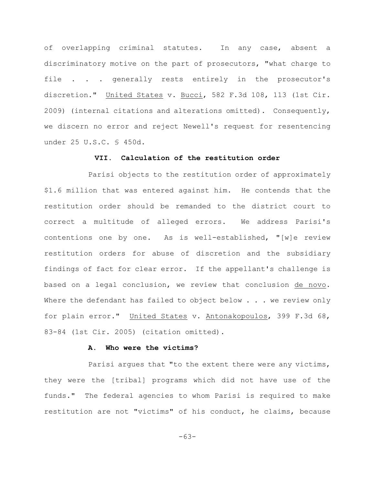of overlapping criminal statutes. In any case, absent a discriminatory motive on the part of prosecutors, "what charge to file . . . generally rests entirely in the prosecutor's discretion." United States v. Bucci, 582 F.3d 108, 113 (1st Cir. 2009) (internal citations and alterations omitted). Consequently, we discern no error and reject Newell's request for resentencing under 25 U.S.C. § 450d.

# **VII. Calculation of the restitution order**

Parisi objects to the restitution order of approximately \$1.6 million that was entered against him. He contends that the restitution order should be remanded to the district court to correct a multitude of alleged errors. We address Parisi's contentions one by one. As is well-established, "[w]e review restitution orders for abuse of discretion and the subsidiary findings of fact for clear error. If the appellant's challenge is based on a legal conclusion, we review that conclusion de novo. Where the defendant has failed to object below  $\ldots$  we review only for plain error." United States v. Antonakopoulos, 399 F.3d 68, 83-84 (1st Cir. 2005) (citation omitted).

#### **A. Who were the victims?**

Parisi argues that "to the extent there were any victims, they were the [tribal] programs which did not have use of the funds." The federal agencies to whom Parisi is required to make restitution are not "victims" of his conduct, he claims, because

-63-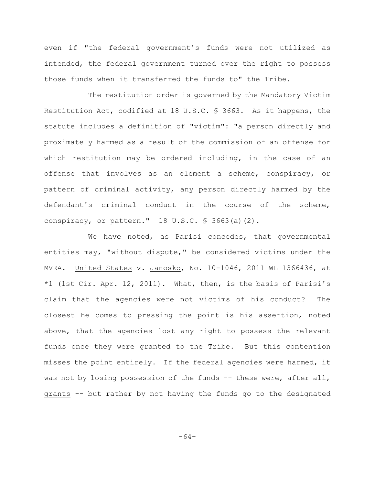even if "the federal government's funds were not utilized as intended, the federal government turned over the right to possess those funds when it transferred the funds to" the Tribe.

The restitution order is governed by the Mandatory Victim Restitution Act, codified at 18 U.S.C. § 3663. As it happens, the statute includes a definition of "victim": "a person directly and proximately harmed as a result of the commission of an offense for which restitution may be ordered including, in the case of an offense that involves as an element a scheme, conspiracy, or pattern of criminal activity, any person directly harmed by the defendant's criminal conduct in the course of the scheme, conspiracy, or pattern." 18 U.S.C. § 3663(a)(2).

We have noted, as Parisi concedes, that governmental entities may, "without dispute," be considered victims under the MVRA. United States v. Janosko, No. 10-1046, 2011 WL 1366436, at \*1 (1st Cir. Apr. 12, 2011). What, then, is the basis of Parisi's claim that the agencies were not victims of his conduct? The closest he comes to pressing the point is his assertion, noted above, that the agencies lost any right to possess the relevant funds once they were granted to the Tribe. But this contention misses the point entirely. If the federal agencies were harmed, it was not by losing possession of the funds -- these were, after all, grants -- but rather by not having the funds go to the designated

-64-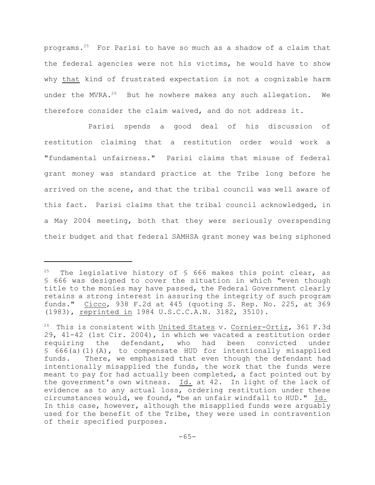programs.<sup>25</sup> For Parisi to have so much as a shadow of a claim that the federal agencies were not his victims, he would have to show why that kind of frustrated expectation is not a cognizable harm under the MVRA. $^{26}$  But he nowhere makes any such allegation. We therefore consider the claim waived, and do not address it.

Parisi spends a good deal of his discussion of restitution claiming that a restitution order would work a "fundamental unfairness." Parisi claims that misuse of federal grant money was standard practice at the Tribe long before he arrived on the scene, and that the tribal council was well aware of this fact. Parisi claims that the tribal council acknowledged, in a May 2004 meeting, both that they were seriously overspending their budget and that federal SAMHSA grant money was being siphoned

The legislative history of  $\frac{1}{5}$  666 makes this point clear, as § 666 was designed to cover the situation in which "even though title to the monies may have passed, the Federal Government clearly retains a strong interest in assuring the integrity of such program funds." Cicco, 938 F.2d at 445 (quoting S. Rep. No. 225, at 369 (1983), reprinted in 1984 U.S.C.C.A.N. 3182, 3510).

 $26$  This is consistent with United States v. Cornier-Ortiz, 361 F.3d 29, 41-42 (1st Cir. 2004), in which we vacated a restitution order<br>requiring the defendant, who had been convicted under requiring the defendant, who had been convicted under  $§ 666(a)(1)(A)$ , to compensate HUD for intentionally misapplied funds. There, we emphasized that even though the defendant had intentionally misapplied the funds, the work that the funds were meant to pay for had actually been completed, a fact pointed out by the government's own witness. Id. at 42. In light of the lack of evidence as to any actual loss, ordering restitution under these circumstances would, we found, "be an unfair windfall to HUD." Id. In this case, however, although the misapplied funds were arguably used for the benefit of the Tribe, they were used in contravention of their specified purposes.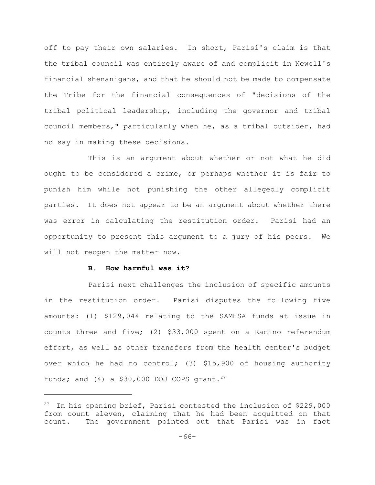off to pay their own salaries. In short, Parisi's claim is that the tribal council was entirely aware of and complicit in Newell's financial shenanigans, and that he should not be made to compensate the Tribe for the financial consequences of "decisions of the tribal political leadership, including the governor and tribal council members," particularly when he, as a tribal outsider, had no say in making these decisions.

This is an argument about whether or not what he did ought to be considered a crime, or perhaps whether it is fair to punish him while not punishing the other allegedly complicit parties. It does not appear to be an argument about whether there was error in calculating the restitution order. Parisi had an opportunity to present this argument to a jury of his peers. We will not reopen the matter now.

### **B. How harmful was it?**

Parisi next challenges the inclusion of specific amounts in the restitution order. Parisi disputes the following five amounts: (1) \$129,044 relating to the SAMHSA funds at issue in counts three and five; (2) \$33,000 spent on a Racino referendum effort, as well as other transfers from the health center's budget over which he had no control; (3) \$15,900 of housing authority funds; and (4) a \$30,000 DOJ COPS grant.<sup>27</sup>

<sup>&</sup>lt;sup>27</sup> In his opening brief, Parisi contested the inclusion of \$229,000 from count eleven, claiming that he had been acquitted on that count. The government pointed out that Parisi was in fact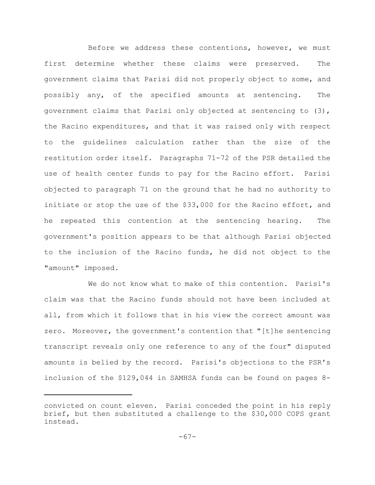Before we address these contentions, however, we must first determine whether these claims were preserved. The government claims that Parisi did not properly object to some, and possibly any, of the specified amounts at sentencing. The government claims that Parisi only objected at sentencing to (3), the Racino expenditures, and that it was raised only with respect to the guidelines calculation rather than the size of the restitution order itself. Paragraphs 71-72 of the PSR detailed the use of health center funds to pay for the Racino effort. Parisi objected to paragraph 71 on the ground that he had no authority to initiate or stop the use of the \$33,000 for the Racino effort, and he repeated this contention at the sentencing hearing. The government's position appears to be that although Parisi objected to the inclusion of the Racino funds, he did not object to the "amount" imposed.

We do not know what to make of this contention. Parisi's claim was that the Racino funds should not have been included at all, from which it follows that in his view the correct amount was zero. Moreover, the government's contention that "[t]he sentencing transcript reveals only one reference to any of the four" disputed amounts is belied by the record. Parisi's objections to the PSR's inclusion of the \$129,044 in SAMHSA funds can be found on pages 8-

convicted on count eleven. Parisi conceded the point in his reply brief, but then substituted a challenge to the \$30,000 COPS grant instead.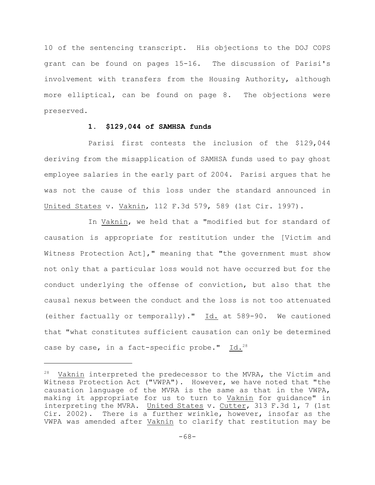10 of the sentencing transcript. His objections to the DOJ COPS grant can be found on pages 15-16. The discussion of Parisi's involvement with transfers from the Housing Authority, although more elliptical, can be found on page 8. The objections were preserved.

# **1. \$129,044 of SAMHSA funds**

Parisi first contests the inclusion of the \$129,044 deriving from the misapplication of SAMHSA funds used to pay ghost employee salaries in the early part of 2004. Parisi argues that he was not the cause of this loss under the standard announced in United States v. Vaknin, 112 F.3d 579, 589 (1st Cir. 1997).

In Vaknin, we held that a "modified but for standard of causation is appropriate for restitution under the [Victim and Witness Protection Act]," meaning that "the government must show not only that a particular loss would not have occurred but for the conduct underlying the offense of conviction, but also that the causal nexus between the conduct and the loss is not too attenuated (either factually or temporally)." Id. at 589-90. We cautioned that "what constitutes sufficient causation can only be determined case by case, in a fact-specific probe." Id.<sup>28</sup>

 $28$  Vaknin interpreted the predecessor to the MVRA, the Victim and Witness Protection Act ("VWPA"). However, we have noted that "the causation language of the MVRA is the same as that in the VWPA, making it appropriate for us to turn to Vaknin for guidance" in interpreting the MVRA. United States v. Cutter, 313 F.3d 1, 7 (1st Cir. 2002). There is a further wrinkle, however, insofar as the VWPA was amended after Vaknin to clarify that restitution may be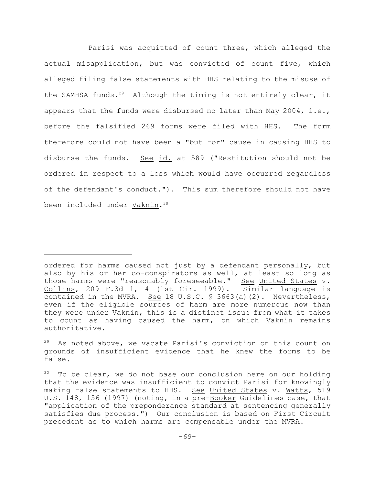Parisi was acquitted of count three, which alleged the actual misapplication, but was convicted of count five, which alleged filing false statements with HHS relating to the misuse of the SAMHSA funds.<sup>29</sup> Although the timing is not entirely clear, it appears that the funds were disbursed no later than May 2004, i.e., before the falsified 269 forms were filed with HHS. The form therefore could not have been a "but for" cause in causing HHS to disburse the funds. See id. at 589 ("Restitution should not be ordered in respect to a loss which would have occurred regardless of the defendant's conduct."). This sum therefore should not have been included under Vaknin.<sup>30</sup>

ordered for harms caused not just by a defendant personally, but also by his or her co-conspirators as well, at least so long as those harms were "reasonably foreseeable." See United States v. Collins, 209 F.3d 1, 4 (1st Cir. 1999). Similar language is contained in the MVRA. See 18 U.S.C. § 3663(a)(2). Nevertheless, even if the eligible sources of harm are more numerous now than they were under Vaknin, this is a distinct issue from what it takes to count as having caused the harm, on which Vaknin remains authoritative.

 $29$  As noted above, we vacate Parisi's conviction on this count on grounds of insufficient evidence that he knew the forms to be false.

 $30$  To be clear, we do not base our conclusion here on our holding that the evidence was insufficient to convict Parisi for knowingly making false statements to HHS. See United States v. Watts, 519 U.S. 148, 156 (1997) (noting, in a pre-Booker Guidelines case, that "application of the preponderance standard at sentencing generally satisfies due process.") Our conclusion is based on First Circuit precedent as to which harms are compensable under the MVRA.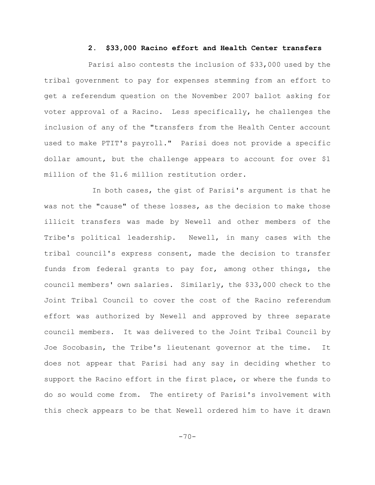#### **2. \$33,000 Racino effort and Health Center transfers**

Parisi also contests the inclusion of \$33,000 used by the tribal government to pay for expenses stemming from an effort to get a referendum question on the November 2007 ballot asking for voter approval of a Racino. Less specifically, he challenges the inclusion of any of the "transfers from the Health Center account used to make PTIT's payroll." Parisi does not provide a specific dollar amount, but the challenge appears to account for over \$1 million of the \$1.6 million restitution order.

In both cases, the gist of Parisi's argument is that he was not the "cause" of these losses, as the decision to make those illicit transfers was made by Newell and other members of the Tribe's political leadership. Newell, in many cases with the tribal council's express consent, made the decision to transfer funds from federal grants to pay for, among other things, the council members' own salaries. Similarly, the \$33,000 check to the Joint Tribal Council to cover the cost of the Racino referendum effort was authorized by Newell and approved by three separate council members. It was delivered to the Joint Tribal Council by Joe Socobasin, the Tribe's lieutenant governor at the time. It does not appear that Parisi had any say in deciding whether to support the Racino effort in the first place, or where the funds to do so would come from. The entirety of Parisi's involvement with this check appears to be that Newell ordered him to have it drawn

 $-70-$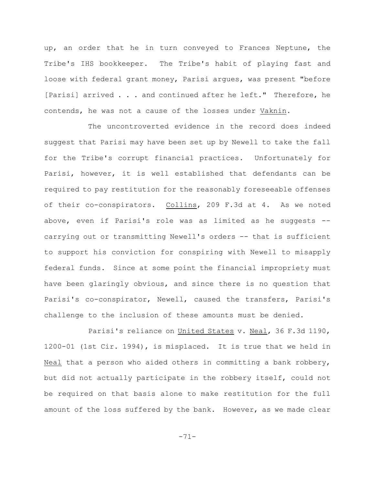up, an order that he in turn conveyed to Frances Neptune, the Tribe's IHS bookkeeper. The Tribe's habit of playing fast and loose with federal grant money, Parisi argues, was present "before [Parisi] arrived . . . and continued after he left." Therefore, he contends, he was not a cause of the losses under Vaknin.

The uncontroverted evidence in the record does indeed suggest that Parisi may have been set up by Newell to take the fall for the Tribe's corrupt financial practices. Unfortunately for Parisi, however, it is well established that defendants can be required to pay restitution for the reasonably foreseeable offenses of their co-conspirators. Collins, 209 F.3d at 4. As we noted above, even if Parisi's role was as limited as he suggests - carrying out or transmitting Newell's orders -- that is sufficient to support his conviction for conspiring with Newell to misapply federal funds. Since at some point the financial impropriety must have been glaringly obvious, and since there is no question that Parisi's co-conspirator, Newell, caused the transfers, Parisi's challenge to the inclusion of these amounts must be denied.

Parisi's reliance on United States v. Neal, 36 F.3d 1190, 1200-01 (1st Cir. 1994), is misplaced. It is true that we held in Neal that a person who aided others in committing a bank robbery, but did not actually participate in the robbery itself, could not be required on that basis alone to make restitution for the full amount of the loss suffered by the bank. However, as we made clear

-71-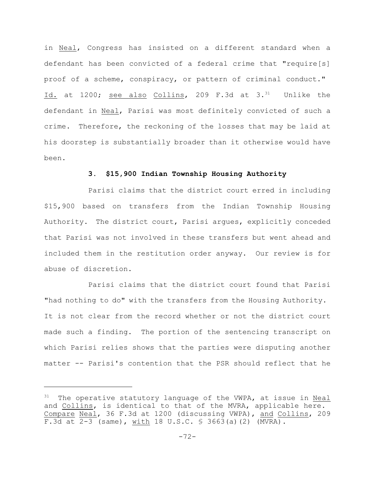in Neal, Congress has insisted on a different standard when a defendant has been convicted of a federal crime that "require[s] proof of a scheme, conspiracy, or pattern of criminal conduct." Id. at 1200; see also Collins, 209 F.3d at  $3.^{31}$  Unlike the defendant in Neal, Parisi was most definitely convicted of such a crime. Therefore, the reckoning of the losses that may be laid at his doorstep is substantially broader than it otherwise would have been.

## **3. \$15,900 Indian Township Housing Authority**

Parisi claims that the district court erred in including \$15,900 based on transfers from the Indian Township Housing Authority. The district court, Parisi argues, explicitly conceded that Parisi was not involved in these transfers but went ahead and included them in the restitution order anyway. Our review is for abuse of discretion.

Parisi claims that the district court found that Parisi "had nothing to do" with the transfers from the Housing Authority. It is not clear from the record whether or not the district court made such a finding. The portion of the sentencing transcript on which Parisi relies shows that the parties were disputing another matter -- Parisi's contention that the PSR should reflect that he

 $31$  The operative statutory language of the VWPA, at issue in Neal and Collins, is identical to that of the MVRA, applicable here. Compare Neal, 36 F.3d at 1200 (discussing VWPA), and Collins, 209 F.3d at 2-3 (same), with 18 U.S.C. § 3663(a)(2) (MVRA).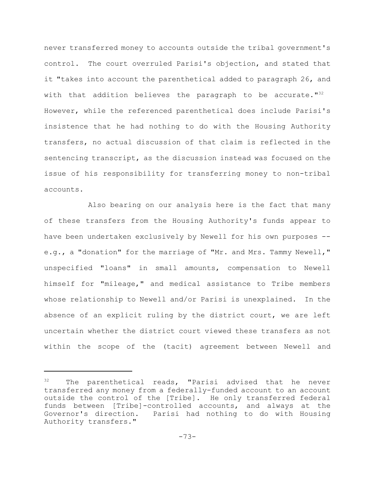never transferred money to accounts outside the tribal government's control. The court overruled Parisi's objection, and stated that it "takes into account the parenthetical added to paragraph 26, and with that addition believes the paragraph to be accurate."<sup>32</sup> However, while the referenced parenthetical does include Parisi's insistence that he had nothing to do with the Housing Authority transfers, no actual discussion of that claim is reflected in the sentencing transcript, as the discussion instead was focused on the issue of his responsibility for transferring money to non-tribal accounts.

Also bearing on our analysis here is the fact that many of these transfers from the Housing Authority's funds appear to have been undertaken exclusively by Newell for his own purposes - e.g., a "donation" for the marriage of "Mr. and Mrs. Tammy Newell," unspecified "loans" in small amounts, compensation to Newell himself for "mileage," and medical assistance to Tribe members whose relationship to Newell and/or Parisi is unexplained. In the absence of an explicit ruling by the district court, we are left uncertain whether the district court viewed these transfers as not within the scope of the (tacit) agreement between Newell and

 $32$  The parenthetical reads, "Parisi advised that he never transferred any money from a federally-funded account to an account outside the control of the [Tribe]. He only transferred federal funds between [Tribe]-controlled accounts, and always at the Governor's direction. Parisi had nothing to do with Housing Authority transfers."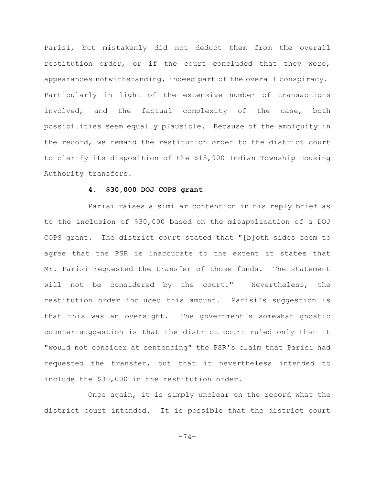Parisi, but mistakenly did not deduct them from the overall restitution order, or if the court concluded that they were, appearances notwithstanding, indeed part of the overall conspiracy. Particularly in light of the extensive number of transactions involved, and the factual complexity of the case, both possibilities seem equally plausible. Because of the ambiguity in the record, we remand the restitution order to the district court to clarify its disposition of the \$15,900 Indian Township Housing Authority transfers.

### **4. \$30,000 DOJ COPS grant**

Parisi raises a similar contention in his reply brief as to the inclusion of \$30,000 based on the misapplication of a DOJ COPS grant. The district court stated that "[b]oth sides seem to agree that the PSR is inaccurate to the extent it states that Mr. Parisi requested the transfer of those funds. The statement will not be considered by the court." Nevertheless, the restitution order included this amount. Parisi's suggestion is that this was an oversight. The government's somewhat gnostic counter-suggestion is that the district court ruled only that it "would not consider at sentencing" the PSR's claim that Parisi had requested the transfer, but that it nevertheless intended to include the \$30,000 in the restitution order.

Once again, it is simply unclear on the record what the district court intended. It is possible that the district court

-74-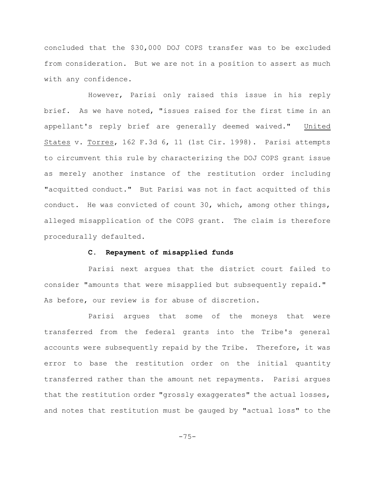concluded that the \$30,000 DOJ COPS transfer was to be excluded from consideration. But we are not in a position to assert as much with any confidence.

However, Parisi only raised this issue in his reply brief. As we have noted, "issues raised for the first time in an appellant's reply brief are generally deemed waived." United States v. Torres, 162 F.3d 6, 11 (1st Cir. 1998). Parisi attempts to circumvent this rule by characterizing the DOJ COPS grant issue as merely another instance of the restitution order including "acquitted conduct." But Parisi was not in fact acquitted of this conduct. He was convicted of count 30, which, among other things, alleged misapplication of the COPS grant. The claim is therefore procedurally defaulted.

### **C. Repayment of misapplied funds**

Parisi next argues that the district court failed to consider "amounts that were misapplied but subsequently repaid." As before, our review is for abuse of discretion.

Parisi argues that some of the moneys that were transferred from the federal grants into the Tribe's general accounts were subsequently repaid by the Tribe. Therefore, it was error to base the restitution order on the initial quantity transferred rather than the amount net repayments. Parisi argues that the restitution order "grossly exaggerates" the actual losses, and notes that restitution must be gauged by "actual loss" to the

-75-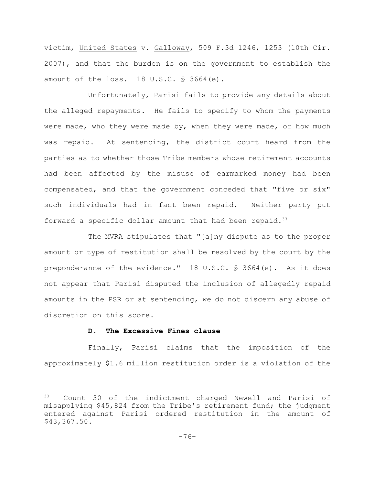victim, United States v. Galloway, 509 F.3d 1246, 1253 (10th Cir. 2007), and that the burden is on the government to establish the amount of the loss. 18 U.S.C. § 3664(e).

Unfortunately, Parisi fails to provide any details about the alleged repayments. He fails to specify to whom the payments were made, who they were made by, when they were made, or how much was repaid. At sentencing, the district court heard from the parties as to whether those Tribe members whose retirement accounts had been affected by the misuse of earmarked money had been compensated, and that the government conceded that "five or six" such individuals had in fact been repaid. Neither party put forward a specific dollar amount that had been repaid. $33$ 

The MVRA stipulates that "[a]ny dispute as to the proper amount or type of restitution shall be resolved by the court by the preponderance of the evidence." 18 U.S.C. § 3664(e). As it does not appear that Parisi disputed the inclusion of allegedly repaid amounts in the PSR or at sentencing, we do not discern any abuse of discretion on this score.

#### **D. The Excessive Fines clause**

Finally, Parisi claims that the imposition of the approximately \$1.6 million restitution order is a violation of the

<sup>33</sup> Count 30 of the indictment charged Newell and Parisi of misapplying \$45,824 from the Tribe's retirement fund; the judgment entered against Parisi ordered restitution in the amount of \$43,367.50.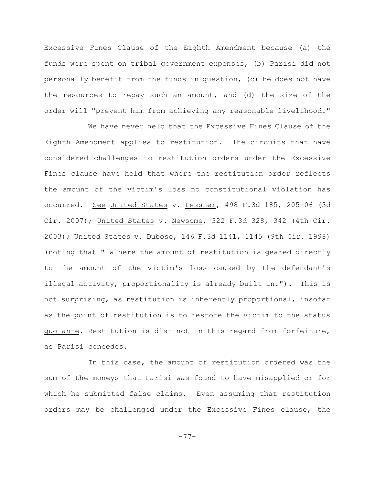Excessive Fines Clause of the Eighth Amendment because (a) the funds were spent on tribal government expenses, (b) Parisi did not personally benefit from the funds in question, (c) he does not have the resources to repay such an amount, and (d) the size of the order will "prevent him from achieving any reasonable livelihood."

We have never held that the Excessive Fines Clause of the Eighth Amendment applies to restitution. The circuits that have considered challenges to restitution orders under the Excessive Fines clause have held that where the restitution order reflects the amount of the victim's loss no constitutional violation has occurred. See United States v. Lessner, 498 F.3d 185, 205-06 (3d Cir. 2007); United States v. Newsome, 322 F.3d 328, 342 (4th Cir. 2003); United States v. Dubose, 146 F.3d 1141, 1145 (9th Cir. 1998) (noting that "[w]here the amount of restitution is geared directly to the amount of the victim's loss caused by the defendant's illegal activity, proportionality is already built in."). This is not surprising, as restitution is inherently proportional, insofar as the point of restitution is to restore the victim to the status quo ante. Restitution is distinct in this regard from forfeiture, as Parisi concedes.

In this case, the amount of restitution ordered was the sum of the moneys that Parisi was found to have misapplied or for which he submitted false claims. Even assuming that restitution orders may be challenged under the Excessive Fines clause, the

-77-